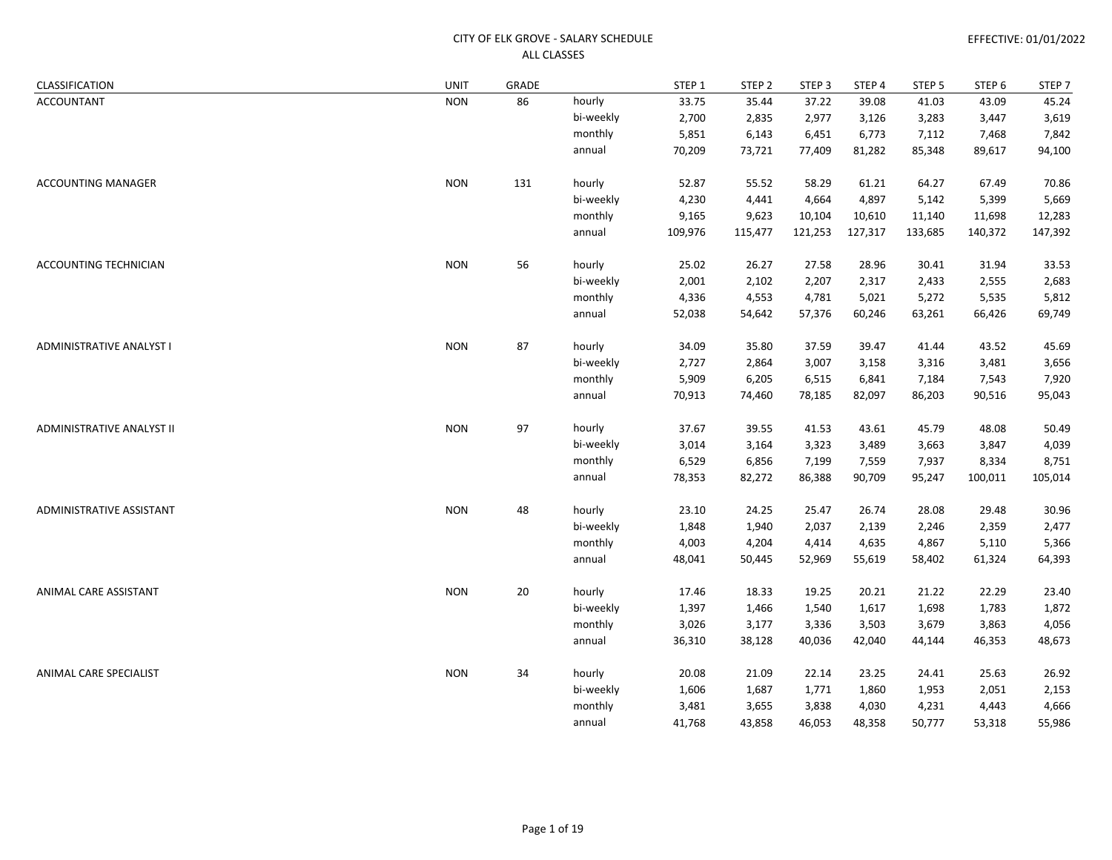| CLASSIFICATION            | UNIT       | GRADE |           | STEP 1  | STEP <sub>2</sub> | STEP <sub>3</sub> | STEP 4  | STEP 5  | STEP 6  | STEP <sub>7</sub> |
|---------------------------|------------|-------|-----------|---------|-------------------|-------------------|---------|---------|---------|-------------------|
| ACCOUNTANT                | <b>NON</b> | 86    | hourly    | 33.75   | 35.44             | 37.22             | 39.08   | 41.03   | 43.09   | 45.24             |
|                           |            |       | bi-weekly | 2,700   | 2,835             | 2,977             | 3,126   | 3,283   | 3,447   | 3,619             |
|                           |            |       | monthly   | 5,851   | 6,143             | 6,451             | 6,773   | 7,112   | 7,468   | 7,842             |
|                           |            |       | annual    | 70,209  | 73,721            | 77,409            | 81,282  | 85,348  | 89,617  | 94,100            |
| <b>ACCOUNTING MANAGER</b> | <b>NON</b> | 131   | hourly    | 52.87   | 55.52             | 58.29             | 61.21   | 64.27   | 67.49   | 70.86             |
|                           |            |       | bi-weekly | 4,230   | 4,441             | 4,664             | 4,897   | 5,142   | 5,399   | 5,669             |
|                           |            |       | monthly   | 9,165   | 9,623             | 10,104            | 10,610  | 11,140  | 11,698  | 12,283            |
|                           |            |       | annual    | 109,976 | 115,477           | 121,253           | 127,317 | 133,685 | 140,372 | 147,392           |
| ACCOUNTING TECHNICIAN     | <b>NON</b> | 56    | hourly    | 25.02   | 26.27             | 27.58             | 28.96   | 30.41   | 31.94   | 33.53             |
|                           |            |       | bi-weekly | 2,001   | 2,102             | 2,207             | 2,317   | 2,433   | 2,555   | 2,683             |
|                           |            |       | monthly   | 4,336   | 4,553             | 4,781             | 5,021   | 5,272   | 5,535   | 5,812             |
|                           |            |       | annual    | 52,038  | 54,642            | 57,376            | 60,246  | 63,261  | 66,426  | 69,749            |
| ADMINISTRATIVE ANALYST I  | <b>NON</b> | 87    | hourly    | 34.09   | 35.80             | 37.59             | 39.47   | 41.44   | 43.52   | 45.69             |
|                           |            |       | bi-weekly | 2,727   | 2,864             | 3,007             | 3,158   | 3,316   | 3,481   | 3,656             |
|                           |            |       | monthly   | 5,909   | 6,205             | 6,515             | 6,841   | 7,184   | 7,543   | 7,920             |
|                           |            |       | annual    | 70,913  | 74,460            | 78,185            | 82,097  | 86,203  | 90,516  | 95,043            |
| ADMINISTRATIVE ANALYST II | <b>NON</b> | 97    | hourly    | 37.67   | 39.55             | 41.53             | 43.61   | 45.79   | 48.08   | 50.49             |
|                           |            |       | bi-weekly | 3,014   | 3,164             | 3,323             | 3,489   | 3,663   | 3,847   | 4,039             |
|                           |            |       | monthly   | 6,529   | 6,856             | 7,199             | 7,559   | 7,937   | 8,334   | 8,751             |
|                           |            |       | annual    | 78,353  | 82,272            | 86,388            | 90,709  | 95,247  | 100,011 | 105,014           |
| ADMINISTRATIVE ASSISTANT  | <b>NON</b> | 48    | hourly    | 23.10   | 24.25             | 25.47             | 26.74   | 28.08   | 29.48   | 30.96             |
|                           |            |       | bi-weekly | 1,848   | 1,940             | 2,037             | 2,139   | 2,246   | 2,359   | 2,477             |
|                           |            |       | monthly   | 4,003   | 4,204             | 4,414             | 4,635   | 4,867   | 5,110   | 5,366             |
|                           |            |       | annual    | 48,041  | 50,445            | 52,969            | 55,619  | 58,402  | 61,324  | 64,393            |
| ANIMAL CARE ASSISTANT     | <b>NON</b> | 20    | hourly    | 17.46   | 18.33             | 19.25             | 20.21   | 21.22   | 22.29   | 23.40             |
|                           |            |       | bi-weekly | 1,397   | 1,466             | 1,540             | 1,617   | 1,698   | 1,783   | 1,872             |
|                           |            |       | monthly   | 3,026   | 3,177             | 3,336             | 3,503   | 3,679   | 3,863   | 4,056             |
|                           |            |       | annual    | 36,310  | 38,128            | 40,036            | 42,040  | 44,144  | 46,353  | 48,673            |
| ANIMAL CARE SPECIALIST    | <b>NON</b> | 34    | hourly    | 20.08   | 21.09             | 22.14             | 23.25   | 24.41   | 25.63   | 26.92             |
|                           |            |       | bi-weekly | 1,606   | 1,687             | 1,771             | 1,860   | 1,953   | 2,051   | 2,153             |
|                           |            |       | monthly   | 3,481   | 3,655             | 3,838             | 4,030   | 4,231   | 4,443   | 4,666             |
|                           |            |       | annual    | 41,768  | 43,858            | 46,053            | 48,358  | 50,777  | 53,318  | 55,986            |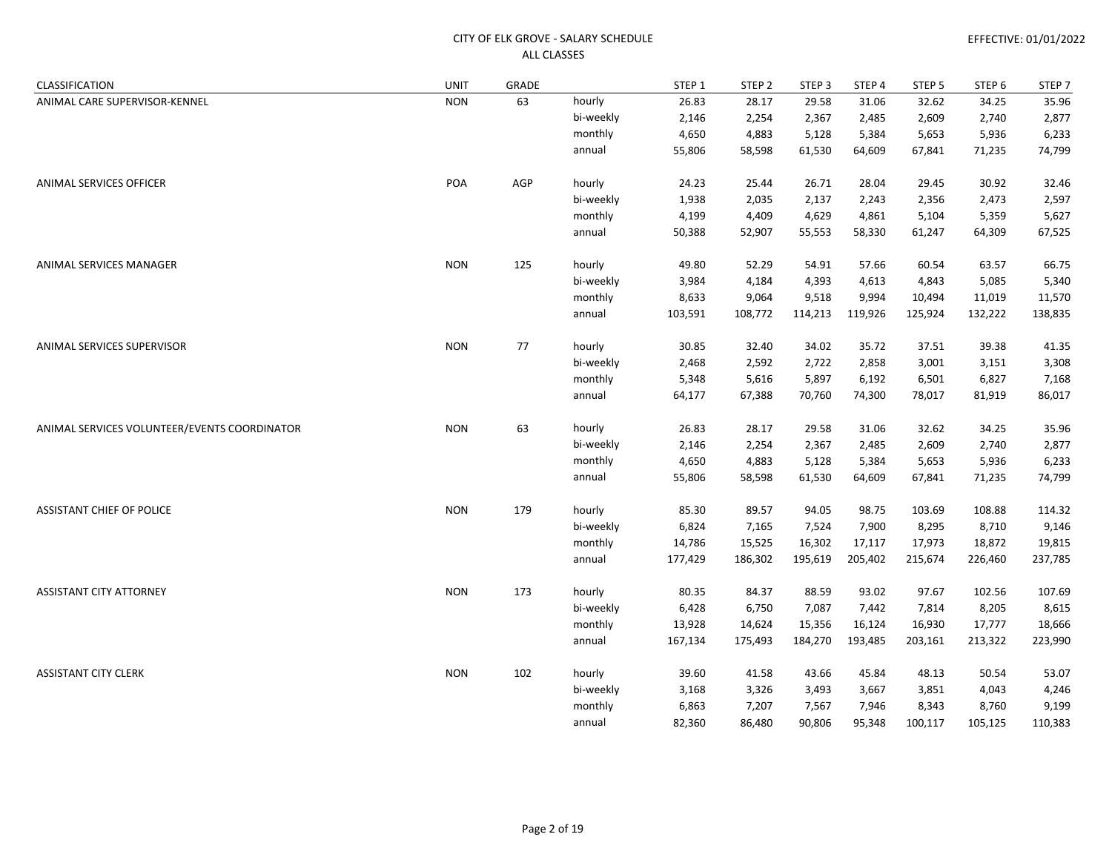| CLASSIFICATION                               | <b>UNIT</b> | GRADE |           | STEP <sub>1</sub> | STEP <sub>2</sub> | STEP <sub>3</sub> | STEP 4  | STEP <sub>5</sub> | STEP 6  | STEP <sub>7</sub> |
|----------------------------------------------|-------------|-------|-----------|-------------------|-------------------|-------------------|---------|-------------------|---------|-------------------|
| ANIMAL CARE SUPERVISOR-KENNEL                | <b>NON</b>  | 63    | hourly    | 26.83             | 28.17             | 29.58             | 31.06   | 32.62             | 34.25   | 35.96             |
|                                              |             |       | bi-weekly | 2,146             | 2,254             | 2,367             | 2,485   | 2,609             | 2,740   | 2,877             |
|                                              |             |       | monthly   | 4,650             | 4,883             | 5,128             | 5,384   | 5,653             | 5,936   | 6,233             |
|                                              |             |       | annual    | 55,806            | 58,598            | 61,530            | 64,609  | 67,841            | 71,235  | 74,799            |
| <b>ANIMAL SERVICES OFFICER</b>               | POA         | AGP   | hourly    | 24.23             | 25.44             | 26.71             | 28.04   | 29.45             | 30.92   | 32.46             |
|                                              |             |       | bi-weekly | 1,938             | 2,035             | 2,137             | 2,243   | 2,356             | 2,473   | 2,597             |
|                                              |             |       | monthly   | 4,199             | 4,409             | 4,629             | 4,861   | 5,104             | 5,359   | 5,627             |
|                                              |             |       | annual    | 50,388            | 52,907            | 55,553            | 58,330  | 61,247            | 64,309  | 67,525            |
| ANIMAL SERVICES MANAGER                      | <b>NON</b>  | 125   | hourly    | 49.80             | 52.29             | 54.91             | 57.66   | 60.54             | 63.57   | 66.75             |
|                                              |             |       | bi-weekly | 3,984             | 4,184             | 4,393             | 4,613   | 4,843             | 5,085   | 5,340             |
|                                              |             |       | monthly   | 8,633             | 9,064             | 9,518             | 9,994   | 10,494            | 11,019  | 11,570            |
|                                              |             |       | annual    | 103,591           | 108,772           | 114,213           | 119,926 | 125,924           | 132,222 | 138,835           |
| ANIMAL SERVICES SUPERVISOR                   | <b>NON</b>  | 77    | hourly    | 30.85             | 32.40             | 34.02             | 35.72   | 37.51             | 39.38   | 41.35             |
|                                              |             |       | bi-weekly | 2,468             | 2,592             | 2,722             | 2,858   | 3,001             | 3,151   | 3,308             |
|                                              |             |       | monthly   | 5,348             | 5,616             | 5,897             | 6,192   | 6,501             | 6,827   | 7,168             |
|                                              |             |       | annual    | 64,177            | 67,388            | 70,760            | 74,300  | 78,017            | 81,919  | 86,017            |
| ANIMAL SERVICES VOLUNTEER/EVENTS COORDINATOR | <b>NON</b>  | 63    | hourly    | 26.83             | 28.17             | 29.58             | 31.06   | 32.62             | 34.25   | 35.96             |
|                                              |             |       | bi-weekly | 2,146             | 2,254             | 2,367             | 2,485   | 2,609             | 2,740   | 2,877             |
|                                              |             |       | monthly   | 4,650             | 4,883             | 5,128             | 5,384   | 5,653             | 5,936   | 6,233             |
|                                              |             |       | annual    | 55,806            | 58,598            | 61,530            | 64,609  | 67,841            | 71,235  | 74,799            |
| <b>ASSISTANT CHIEF OF POLICE</b>             | <b>NON</b>  | 179   | hourly    | 85.30             | 89.57             | 94.05             | 98.75   | 103.69            | 108.88  | 114.32            |
|                                              |             |       | bi-weekly | 6,824             | 7,165             | 7,524             | 7,900   | 8,295             | 8,710   | 9,146             |
|                                              |             |       | monthly   | 14,786            | 15,525            | 16,302            | 17,117  | 17,973            | 18,872  | 19,815            |
|                                              |             |       | annual    | 177,429           | 186,302           | 195,619           | 205,402 | 215,674           | 226,460 | 237,785           |
| <b>ASSISTANT CITY ATTORNEY</b>               | <b>NON</b>  | 173   | hourly    | 80.35             | 84.37             | 88.59             | 93.02   | 97.67             | 102.56  | 107.69            |
|                                              |             |       | bi-weekly | 6,428             | 6,750             | 7,087             | 7,442   | 7,814             | 8,205   | 8,615             |
|                                              |             |       | monthly   | 13,928            | 14,624            | 15,356            | 16,124  | 16,930            | 17,777  | 18,666            |
|                                              |             |       | annual    | 167,134           | 175,493           | 184,270           | 193,485 | 203,161           | 213,322 | 223,990           |
| <b>ASSISTANT CITY CLERK</b>                  | <b>NON</b>  | 102   | hourly    | 39.60             | 41.58             | 43.66             | 45.84   | 48.13             | 50.54   | 53.07             |
|                                              |             |       | bi-weekly | 3,168             | 3,326             | 3,493             | 3,667   | 3,851             | 4,043   | 4,246             |
|                                              |             |       | monthly   | 6,863             | 7,207             | 7,567             | 7,946   | 8,343             | 8,760   | 9,199             |
|                                              |             |       | annual    | 82,360            | 86,480            | 90,806            | 95,348  | 100,117           | 105,125 | 110,383           |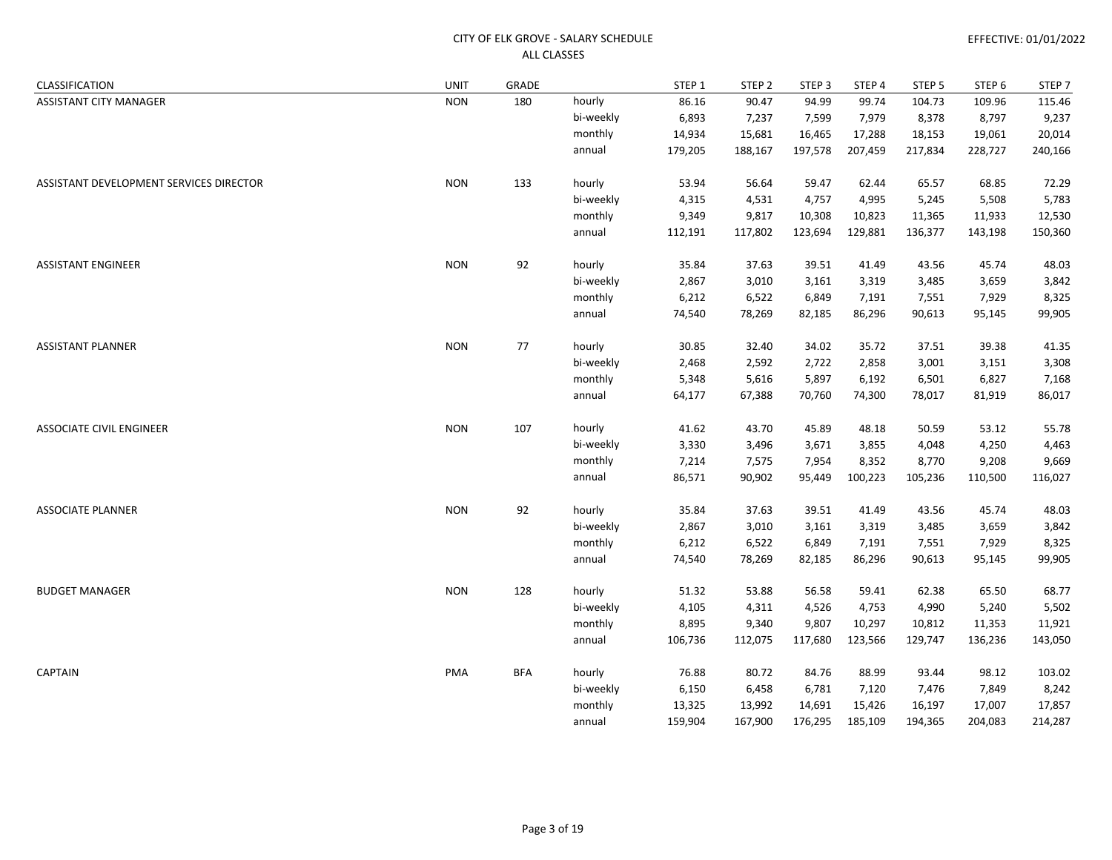| CLASSIFICATION                          | <b>UNIT</b> | GRADE      |           | STEP 1  | STEP <sub>2</sub> | STEP <sub>3</sub> | STEP 4  | STEP <sub>5</sub> | STEP 6  | STEP <sub>7</sub> |
|-----------------------------------------|-------------|------------|-----------|---------|-------------------|-------------------|---------|-------------------|---------|-------------------|
| ASSISTANT CITY MANAGER                  | <b>NON</b>  | 180        | hourly    | 86.16   | 90.47             | 94.99             | 99.74   | 104.73            | 109.96  | 115.46            |
|                                         |             |            | bi-weekly | 6,893   | 7,237             | 7,599             | 7,979   | 8,378             | 8,797   | 9,237             |
|                                         |             |            | monthly   | 14,934  | 15,681            | 16,465            | 17,288  | 18,153            | 19,061  | 20,014            |
|                                         |             |            | annual    | 179,205 | 188,167           | 197,578           | 207,459 | 217,834           | 228,727 | 240,166           |
| ASSISTANT DEVELOPMENT SERVICES DIRECTOR | <b>NON</b>  | 133        | hourly    | 53.94   | 56.64             | 59.47             | 62.44   | 65.57             | 68.85   | 72.29             |
|                                         |             |            | bi-weekly | 4,315   | 4,531             | 4,757             | 4,995   | 5,245             | 5,508   | 5,783             |
|                                         |             |            | monthly   | 9,349   | 9,817             | 10,308            | 10,823  | 11,365            | 11,933  | 12,530            |
|                                         |             |            | annual    | 112,191 | 117,802           | 123,694           | 129,881 | 136,377           | 143,198 | 150,360           |
| <b>ASSISTANT ENGINEER</b>               | <b>NON</b>  | 92         | hourly    | 35.84   | 37.63             | 39.51             | 41.49   | 43.56             | 45.74   | 48.03             |
|                                         |             |            | bi-weekly | 2,867   | 3,010             | 3,161             | 3,319   | 3,485             | 3,659   | 3,842             |
|                                         |             |            | monthly   | 6,212   | 6,522             | 6,849             | 7,191   | 7,551             | 7,929   | 8,325             |
|                                         |             |            | annual    | 74,540  | 78,269            | 82,185            | 86,296  | 90,613            | 95,145  | 99,905            |
| <b>ASSISTANT PLANNER</b>                | <b>NON</b>  | 77         | hourly    | 30.85   | 32.40             | 34.02             | 35.72   | 37.51             | 39.38   | 41.35             |
|                                         |             |            | bi-weekly | 2,468   | 2,592             | 2,722             | 2,858   | 3,001             | 3,151   | 3,308             |
|                                         |             |            | monthly   | 5,348   | 5,616             | 5,897             | 6,192   | 6,501             | 6,827   | 7,168             |
|                                         |             |            | annual    | 64,177  | 67,388            | 70,760            | 74,300  | 78,017            | 81,919  | 86,017            |
| <b>ASSOCIATE CIVIL ENGINEER</b>         | <b>NON</b>  | 107        | hourly    | 41.62   | 43.70             | 45.89             | 48.18   | 50.59             | 53.12   | 55.78             |
|                                         |             |            | bi-weekly | 3,330   | 3,496             | 3,671             | 3,855   | 4,048             | 4,250   | 4,463             |
|                                         |             |            | monthly   | 7,214   | 7,575             | 7,954             | 8,352   | 8,770             | 9,208   | 9,669             |
|                                         |             |            | annual    | 86,571  | 90,902            | 95,449            | 100,223 | 105,236           | 110,500 | 116,027           |
| <b>ASSOCIATE PLANNER</b>                | <b>NON</b>  | 92         | hourly    | 35.84   | 37.63             | 39.51             | 41.49   | 43.56             | 45.74   | 48.03             |
|                                         |             |            | bi-weekly | 2,867   | 3,010             | 3,161             | 3,319   | 3,485             | 3,659   | 3,842             |
|                                         |             |            | monthly   | 6,212   | 6,522             | 6,849             | 7,191   | 7,551             | 7,929   | 8,325             |
|                                         |             |            | annual    | 74,540  | 78,269            | 82,185            | 86,296  | 90,613            | 95,145  | 99,905            |
| <b>BUDGET MANAGER</b>                   | <b>NON</b>  | 128        | hourly    | 51.32   | 53.88             | 56.58             | 59.41   | 62.38             | 65.50   | 68.77             |
|                                         |             |            | bi-weekly | 4,105   | 4,311             | 4,526             | 4,753   | 4,990             | 5,240   | 5,502             |
|                                         |             |            | monthly   | 8,895   | 9,340             | 9,807             | 10,297  | 10,812            | 11,353  | 11,921            |
|                                         |             |            | annual    | 106,736 | 112,075           | 117,680           | 123,566 | 129,747           | 136,236 | 143,050           |
| <b>CAPTAIN</b>                          | PMA         | <b>BFA</b> | hourly    | 76.88   | 80.72             | 84.76             | 88.99   | 93.44             | 98.12   | 103.02            |
|                                         |             |            | bi-weekly | 6,150   | 6,458             | 6,781             | 7,120   | 7,476             | 7,849   | 8,242             |
|                                         |             |            | monthly   | 13,325  | 13,992            | 14,691            | 15,426  | 16,197            | 17,007  | 17,857            |
|                                         |             |            | annual    | 159,904 | 167,900           | 176,295           | 185,109 | 194,365           | 204,083 | 214,287           |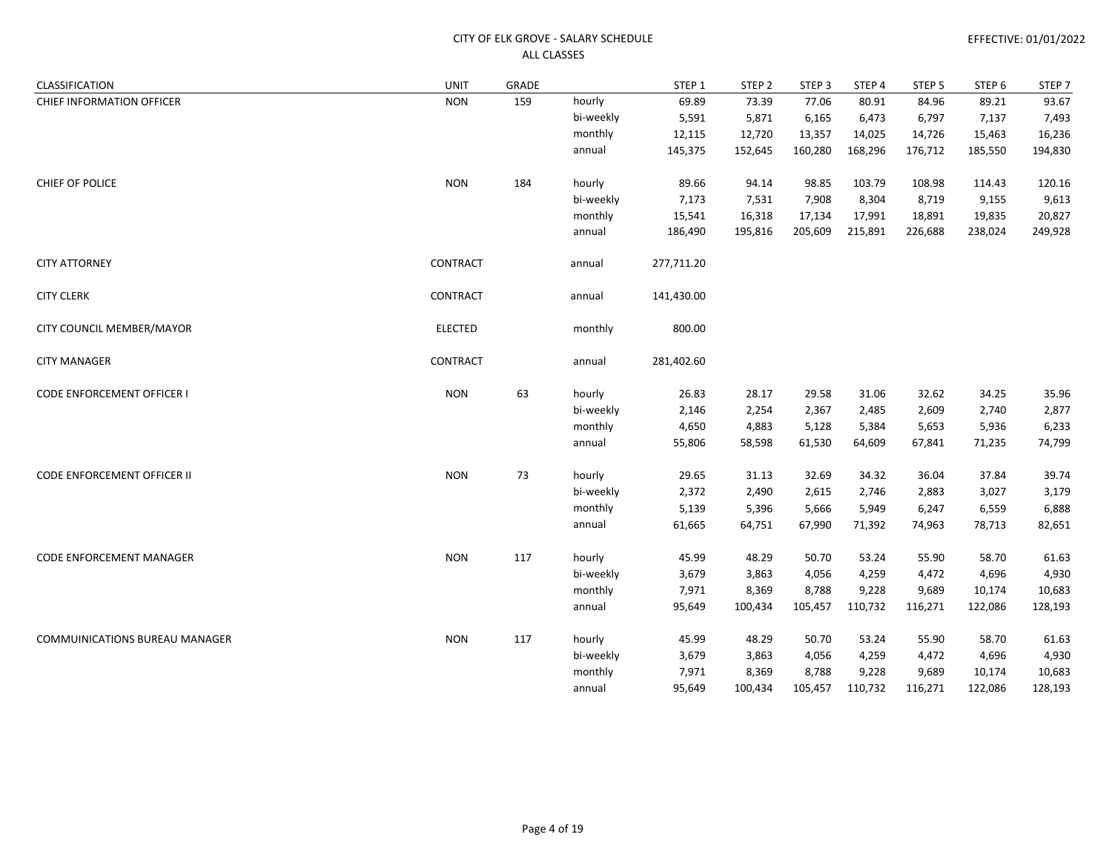| CLASSIFICATION                        | UNIT           | GRADE |           | STEP 1     | STEP <sub>2</sub> | STEP <sub>3</sub> | STEP 4  | STEP <sub>5</sub> | STEP <sub>6</sub> | STEP <sub>7</sub> |
|---------------------------------------|----------------|-------|-----------|------------|-------------------|-------------------|---------|-------------------|-------------------|-------------------|
| CHIEF INFORMATION OFFICER             | <b>NON</b>     | 159   | hourly    | 69.89      | 73.39             | 77.06             | 80.91   | 84.96             | 89.21             | 93.67             |
|                                       |                |       | bi-weekly | 5,591      | 5,871             | 6,165             | 6,473   | 6,797             | 7,137             | 7,493             |
|                                       |                |       | monthly   | 12,115     | 12,720            | 13,357            | 14,025  | 14,726            | 15,463            | 16,236            |
|                                       |                |       | annual    | 145,375    | 152,645           | 160,280           | 168,296 | 176,712           | 185,550           | 194,830           |
| CHIEF OF POLICE                       | <b>NON</b>     | 184   | hourly    | 89.66      | 94.14             | 98.85             | 103.79  | 108.98            | 114.43            | 120.16            |
|                                       |                |       | bi-weekly | 7,173      | 7,531             | 7,908             | 8,304   | 8,719             | 9,155             | 9,613             |
|                                       |                |       | monthly   | 15,541     | 16,318            | 17,134            | 17,991  | 18,891            | 19,835            | 20,827            |
|                                       |                |       | annual    | 186,490    | 195,816           | 205,609           | 215,891 | 226,688           | 238,024           | 249,928           |
| <b>CITY ATTORNEY</b>                  | CONTRACT       |       | annual    | 277,711.20 |                   |                   |         |                   |                   |                   |
| <b>CITY CLERK</b>                     | CONTRACT       |       | annual    | 141,430.00 |                   |                   |         |                   |                   |                   |
| CITY COUNCIL MEMBER/MAYOR             | <b>ELECTED</b> |       | monthly   | 800.00     |                   |                   |         |                   |                   |                   |
| <b>CITY MANAGER</b>                   | CONTRACT       |       | annual    | 281,402.60 |                   |                   |         |                   |                   |                   |
| CODE ENFORCEMENT OFFICER I            | <b>NON</b>     | 63    | hourly    | 26.83      | 28.17             | 29.58             | 31.06   | 32.62             | 34.25             | 35.96             |
|                                       |                |       | bi-weekly | 2,146      | 2,254             | 2,367             | 2,485   | 2,609             | 2,740             | 2,877             |
|                                       |                |       | monthly   | 4,650      | 4,883             | 5,128             | 5,384   | 5,653             | 5,936             | 6,233             |
|                                       |                |       | annual    | 55,806     | 58,598            | 61,530            | 64,609  | 67,841            | 71,235            | 74,799            |
| <b>CODE ENFORCEMENT OFFICER II</b>    | <b>NON</b>     | 73    | hourly    | 29.65      | 31.13             | 32.69             | 34.32   | 36.04             | 37.84             | 39.74             |
|                                       |                |       | bi-weekly | 2,372      | 2,490             | 2,615             | 2,746   | 2,883             | 3,027             | 3,179             |
|                                       |                |       | monthly   | 5,139      | 5,396             | 5,666             | 5,949   | 6,247             | 6,559             | 6,888             |
|                                       |                |       | annual    | 61,665     | 64,751            | 67,990            | 71,392  | 74,963            | 78,713            | 82,651            |
| CODE ENFORCEMENT MANAGER              | <b>NON</b>     | 117   | hourly    | 45.99      | 48.29             | 50.70             | 53.24   | 55.90             | 58.70             | 61.63             |
|                                       |                |       | bi-weekly | 3,679      | 3,863             | 4,056             | 4,259   | 4,472             | 4,696             | 4,930             |
|                                       |                |       | monthly   | 7,971      | 8,369             | 8,788             | 9,228   | 9,689             | 10,174            | 10,683            |
|                                       |                |       | annual    | 95,649     | 100,434           | 105,457           | 110,732 | 116,271           | 122,086           | 128,193           |
| <b>COMMUINICATIONS BUREAU MANAGER</b> | <b>NON</b>     | 117   | hourly    | 45.99      | 48.29             | 50.70             | 53.24   | 55.90             | 58.70             | 61.63             |
|                                       |                |       | bi-weekly | 3,679      | 3,863             | 4,056             | 4,259   | 4,472             | 4,696             | 4,930             |
|                                       |                |       | monthly   | 7,971      | 8,369             | 8,788             | 9,228   | 9,689             | 10,174            | 10,683            |
|                                       |                |       | annual    | 95,649     | 100,434           | 105,457           | 110,732 | 116,271           | 122,086           | 128,193           |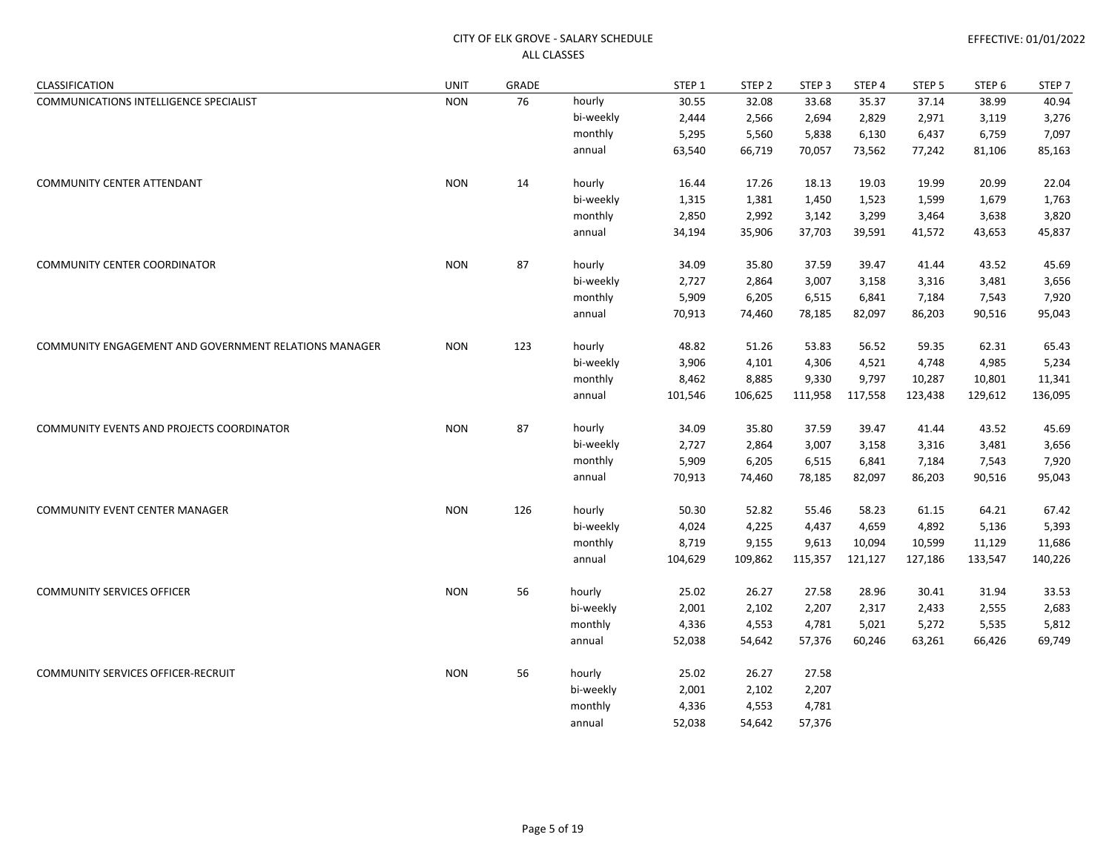| CLASSIFICATION                                        | UNIT       | GRADE |           | STEP 1  | STEP <sub>2</sub> | STEP 3  | STEP 4  | STEP <sub>5</sub> | STEP <sub>6</sub> | STEP <sub>7</sub> |
|-------------------------------------------------------|------------|-------|-----------|---------|-------------------|---------|---------|-------------------|-------------------|-------------------|
| COMMUNICATIONS INTELLIGENCE SPECIALIST                | <b>NON</b> | 76    | hourly    | 30.55   | 32.08             | 33.68   | 35.37   | 37.14             | 38.99             | 40.94             |
|                                                       |            |       | bi-weekly | 2,444   | 2,566             | 2,694   | 2,829   | 2,971             | 3,119             | 3,276             |
|                                                       |            |       | monthly   | 5,295   | 5,560             | 5,838   | 6,130   | 6,437             | 6,759             | 7,097             |
|                                                       |            |       | annual    | 63,540  | 66,719            | 70,057  | 73,562  | 77,242            | 81,106            | 85,163            |
| <b>COMMUNITY CENTER ATTENDANT</b>                     | <b>NON</b> | 14    | hourly    | 16.44   | 17.26             | 18.13   | 19.03   | 19.99             | 20.99             | 22.04             |
|                                                       |            |       | bi-weekly | 1,315   | 1,381             | 1,450   | 1,523   | 1,599             | 1,679             | 1,763             |
|                                                       |            |       | monthly   | 2,850   | 2,992             | 3,142   | 3,299   | 3,464             | 3,638             | 3,820             |
|                                                       |            |       | annual    | 34,194  | 35,906            | 37,703  | 39,591  | 41,572            | 43,653            | 45,837            |
| <b>COMMUNITY CENTER COORDINATOR</b>                   | <b>NON</b> | 87    | hourly    | 34.09   | 35.80             | 37.59   | 39.47   | 41.44             | 43.52             | 45.69             |
|                                                       |            |       | bi-weekly | 2,727   | 2,864             | 3,007   | 3,158   | 3,316             | 3,481             | 3,656             |
|                                                       |            |       | monthly   | 5,909   | 6,205             | 6,515   | 6,841   | 7,184             | 7,543             | 7,920             |
|                                                       |            |       | annual    | 70,913  | 74,460            | 78,185  | 82,097  | 86,203            | 90,516            | 95,043            |
| COMMUNITY ENGAGEMENT AND GOVERNMENT RELATIONS MANAGER | <b>NON</b> | 123   | hourly    | 48.82   | 51.26             | 53.83   | 56.52   | 59.35             | 62.31             | 65.43             |
|                                                       |            |       | bi-weekly | 3,906   | 4,101             | 4,306   | 4,521   | 4,748             | 4,985             | 5,234             |
|                                                       |            |       | monthly   | 8,462   | 8,885             | 9,330   | 9,797   | 10,287            | 10,801            | 11,341            |
|                                                       |            |       | annual    | 101,546 | 106,625           | 111,958 | 117,558 | 123,438           | 129,612           | 136,095           |
| COMMUNITY EVENTS AND PROJECTS COORDINATOR             | <b>NON</b> | 87    | hourly    | 34.09   | 35.80             | 37.59   | 39.47   | 41.44             | 43.52             | 45.69             |
|                                                       |            |       | bi-weekly | 2,727   | 2,864             | 3,007   | 3,158   | 3,316             | 3,481             | 3,656             |
|                                                       |            |       | monthly   | 5,909   | 6,205             | 6,515   | 6,841   | 7,184             | 7,543             | 7,920             |
|                                                       |            |       | annual    | 70,913  | 74,460            | 78,185  | 82,097  | 86,203            | 90,516            | 95,043            |
| <b>COMMUNITY EVENT CENTER MANAGER</b>                 | <b>NON</b> | 126   | hourly    | 50.30   | 52.82             | 55.46   | 58.23   | 61.15             | 64.21             | 67.42             |
|                                                       |            |       | bi-weekly | 4,024   | 4,225             | 4,437   | 4,659   | 4,892             | 5,136             | 5,393             |
|                                                       |            |       | monthly   | 8,719   | 9,155             | 9,613   | 10,094  | 10,599            | 11,129            | 11,686            |
|                                                       |            |       | annual    | 104,629 | 109,862           | 115,357 | 121,127 | 127,186           | 133,547           | 140,226           |
| <b>COMMUNITY SERVICES OFFICER</b>                     | <b>NON</b> | 56    | hourly    | 25.02   | 26.27             | 27.58   | 28.96   | 30.41             | 31.94             | 33.53             |
|                                                       |            |       | bi-weekly | 2,001   | 2,102             | 2,207   | 2,317   | 2,433             | 2,555             | 2,683             |
|                                                       |            |       | monthly   | 4,336   | 4,553             | 4,781   | 5,021   | 5,272             | 5,535             | 5,812             |
|                                                       |            |       | annual    | 52,038  | 54,642            | 57,376  | 60,246  | 63,261            | 66,426            | 69,749            |
| <b>COMMUNITY SERVICES OFFICER-RECRUIT</b>             | <b>NON</b> | 56    | hourly    | 25.02   | 26.27             | 27.58   |         |                   |                   |                   |
|                                                       |            |       | bi-weekly | 2,001   | 2,102             | 2,207   |         |                   |                   |                   |
|                                                       |            |       | monthly   | 4,336   | 4,553             | 4,781   |         |                   |                   |                   |
|                                                       |            |       | annual    | 52,038  | 54,642            | 57,376  |         |                   |                   |                   |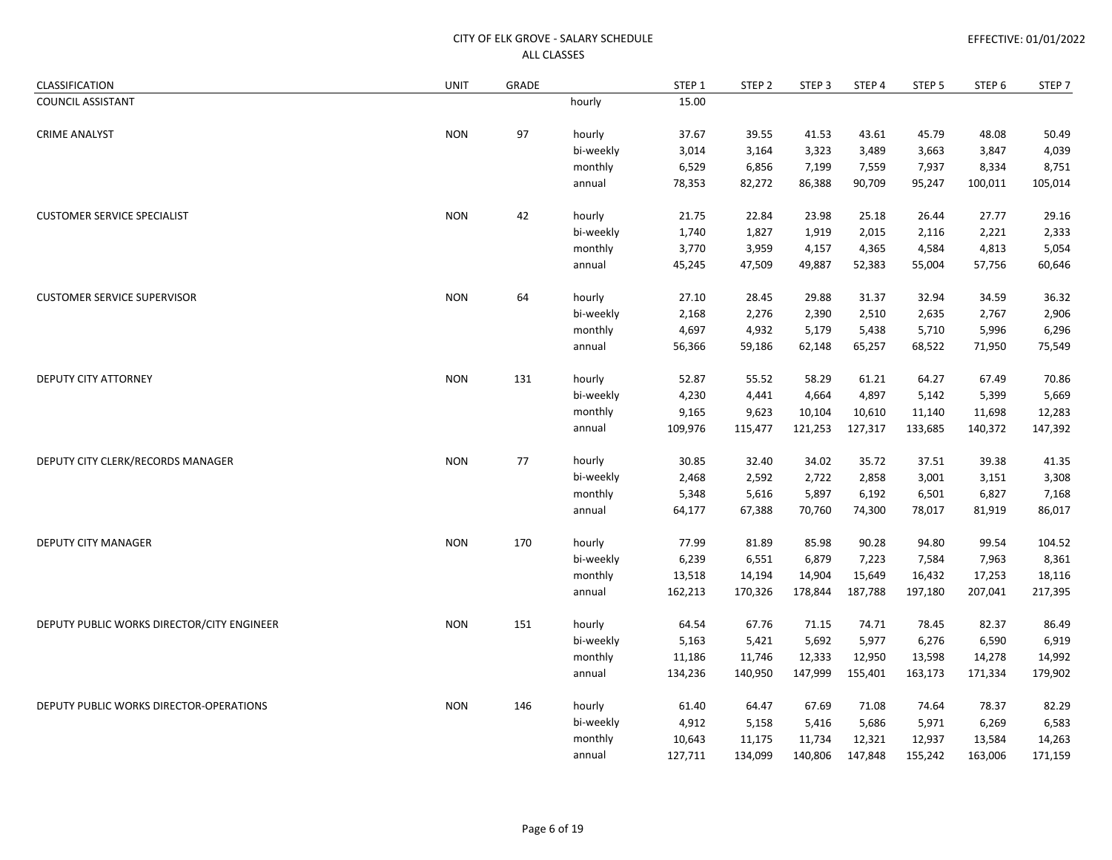| CLASSIFICATION                             | <b>UNIT</b> | GRADE |           | STEP 1  | STEP <sub>2</sub> | STEP <sub>3</sub> | STEP 4  | STEP <sub>5</sub> | STEP <sub>6</sub> | STEP <sub>7</sub> |
|--------------------------------------------|-------------|-------|-----------|---------|-------------------|-------------------|---------|-------------------|-------------------|-------------------|
| <b>COUNCIL ASSISTANT</b>                   |             |       | hourly    | 15.00   |                   |                   |         |                   |                   |                   |
| <b>CRIME ANALYST</b>                       | <b>NON</b>  | 97    | hourly    | 37.67   | 39.55             | 41.53             | 43.61   | 45.79             | 48.08             | 50.49             |
|                                            |             |       | bi-weekly | 3,014   | 3,164             | 3,323             | 3,489   | 3,663             | 3,847             | 4,039             |
|                                            |             |       | monthly   | 6,529   | 6,856             | 7,199             | 7,559   | 7,937             | 8,334             | 8,751             |
|                                            |             |       | annual    | 78,353  | 82,272            | 86,388            | 90,709  | 95,247            | 100,011           | 105,014           |
| <b>CUSTOMER SERVICE SPECIALIST</b>         | <b>NON</b>  | 42    | hourly    | 21.75   | 22.84             | 23.98             | 25.18   | 26.44             | 27.77             | 29.16             |
|                                            |             |       | bi-weekly | 1,740   | 1,827             | 1,919             | 2,015   | 2,116             | 2,221             | 2,333             |
|                                            |             |       | monthly   | 3,770   | 3,959             | 4,157             | 4,365   | 4,584             | 4,813             | 5,054             |
|                                            |             |       | annual    | 45,245  | 47,509            | 49,887            | 52,383  | 55,004            | 57,756            | 60,646            |
| <b>CUSTOMER SERVICE SUPERVISOR</b>         | <b>NON</b>  | 64    | hourly    | 27.10   | 28.45             | 29.88             | 31.37   | 32.94             | 34.59             | 36.32             |
|                                            |             |       | bi-weekly | 2,168   | 2,276             | 2,390             | 2,510   | 2,635             | 2,767             | 2,906             |
|                                            |             |       | monthly   | 4,697   | 4,932             | 5,179             | 5,438   | 5,710             | 5,996             | 6,296             |
|                                            |             |       | annual    | 56,366  | 59,186            | 62,148            | 65,257  | 68,522            | 71,950            | 75,549            |
| DEPUTY CITY ATTORNEY                       | <b>NON</b>  | 131   | hourly    | 52.87   | 55.52             | 58.29             | 61.21   | 64.27             | 67.49             | 70.86             |
|                                            |             |       | bi-weekly | 4,230   | 4,441             | 4,664             | 4,897   | 5,142             | 5,399             | 5,669             |
|                                            |             |       | monthly   | 9,165   | 9,623             | 10,104            | 10,610  | 11,140            | 11,698            | 12,283            |
|                                            |             |       | annual    | 109,976 | 115,477           | 121,253           | 127,317 | 133,685           | 140,372           | 147,392           |
| DEPUTY CITY CLERK/RECORDS MANAGER          | <b>NON</b>  | 77    | hourly    | 30.85   | 32.40             | 34.02             | 35.72   | 37.51             | 39.38             | 41.35             |
|                                            |             |       | bi-weekly | 2,468   | 2,592             | 2,722             | 2,858   | 3,001             | 3,151             | 3,308             |
|                                            |             |       | monthly   | 5,348   | 5,616             | 5,897             | 6,192   | 6,501             | 6,827             | 7,168             |
|                                            |             |       | annual    | 64,177  | 67,388            | 70,760            | 74,300  | 78,017            | 81,919            | 86,017            |
| <b>DEPUTY CITY MANAGER</b>                 | <b>NON</b>  | 170   | hourly    | 77.99   | 81.89             | 85.98             | 90.28   | 94.80             | 99.54             | 104.52            |
|                                            |             |       | bi-weekly | 6,239   | 6,551             | 6,879             | 7,223   | 7,584             | 7,963             | 8,361             |
|                                            |             |       | monthly   | 13,518  | 14,194            | 14,904            | 15,649  | 16,432            | 17,253            | 18,116            |
|                                            |             |       | annual    | 162,213 | 170,326           | 178,844           | 187,788 | 197,180           | 207,041           | 217,395           |
| DEPUTY PUBLIC WORKS DIRECTOR/CITY ENGINEER | <b>NON</b>  | 151   | hourly    | 64.54   | 67.76             | 71.15             | 74.71   | 78.45             | 82.37             | 86.49             |
|                                            |             |       | bi-weekly | 5,163   | 5,421             | 5,692             | 5,977   | 6,276             | 6,590             | 6,919             |
|                                            |             |       | monthly   | 11,186  | 11,746            | 12,333            | 12,950  | 13,598            | 14,278            | 14,992            |
|                                            |             |       | annual    | 134,236 | 140,950           | 147,999           | 155,401 | 163,173           | 171,334           | 179,902           |
| DEPUTY PUBLIC WORKS DIRECTOR-OPERATIONS    | <b>NON</b>  | 146   | hourly    | 61.40   | 64.47             | 67.69             | 71.08   | 74.64             | 78.37             | 82.29             |
|                                            |             |       | bi-weekly | 4,912   | 5,158             | 5,416             | 5,686   | 5,971             | 6,269             | 6,583             |
|                                            |             |       | monthly   | 10,643  | 11,175            | 11,734            | 12,321  | 12,937            | 13,584            | 14,263            |
|                                            |             |       | annual    | 127,711 | 134,099           | 140,806           | 147,848 | 155,242           | 163,006           | 171,159           |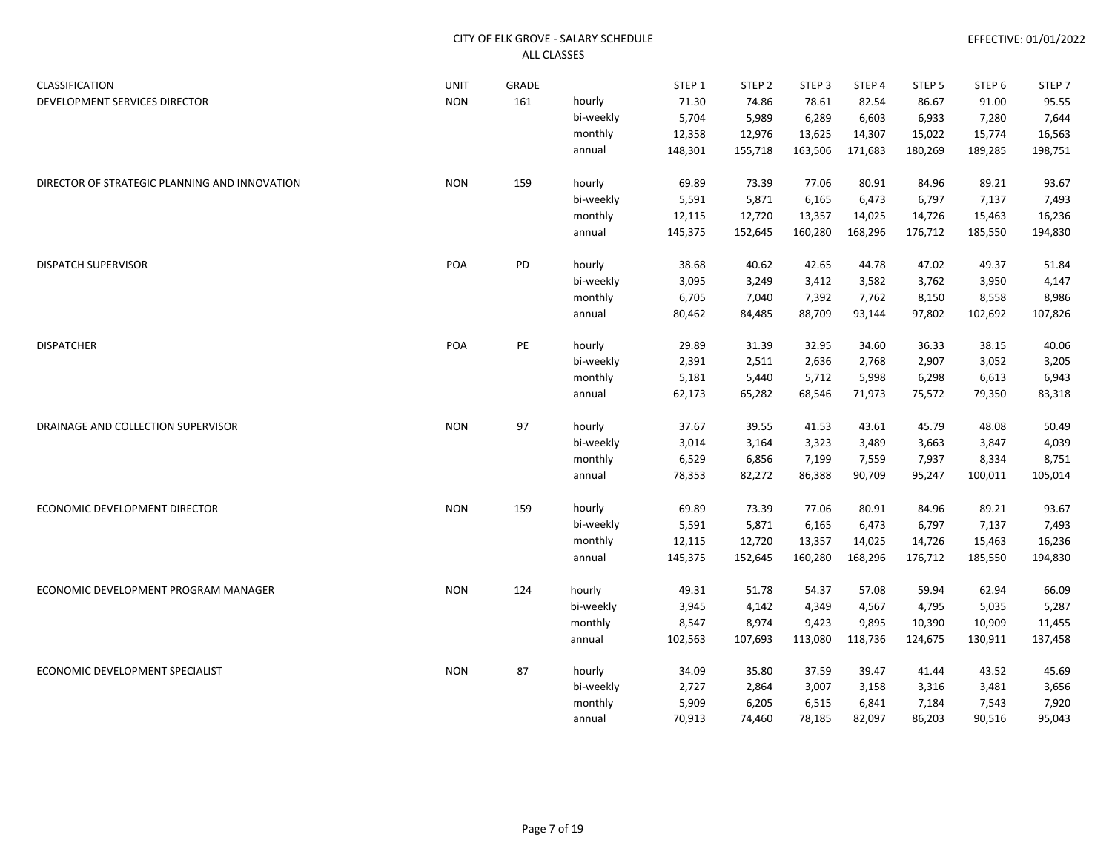| CLASSIFICATION                                | <b>UNIT</b> | GRADE |           | STEP 1  | STEP <sub>2</sub> | STEP <sub>3</sub> | STEP 4  | STEP 5  | STEP <sub>6</sub> | STEP <sub>7</sub> |
|-----------------------------------------------|-------------|-------|-----------|---------|-------------------|-------------------|---------|---------|-------------------|-------------------|
| DEVELOPMENT SERVICES DIRECTOR                 | <b>NON</b>  | 161   | hourly    | 71.30   | 74.86             | 78.61             | 82.54   | 86.67   | 91.00             | 95.55             |
|                                               |             |       | bi-weekly | 5,704   | 5,989             | 6,289             | 6,603   | 6,933   | 7,280             | 7,644             |
|                                               |             |       | monthly   | 12,358  | 12,976            | 13,625            | 14,307  | 15,022  | 15,774            | 16,563            |
|                                               |             |       | annual    | 148,301 | 155,718           | 163,506           | 171,683 | 180,269 | 189,285           | 198,751           |
| DIRECTOR OF STRATEGIC PLANNING AND INNOVATION | <b>NON</b>  | 159   | hourly    | 69.89   | 73.39             | 77.06             | 80.91   | 84.96   | 89.21             | 93.67             |
|                                               |             |       | bi-weekly | 5,591   | 5,871             | 6,165             | 6,473   | 6,797   | 7,137             | 7,493             |
|                                               |             |       | monthly   | 12,115  | 12,720            | 13,357            | 14,025  | 14,726  | 15,463            | 16,236            |
|                                               |             |       | annual    | 145,375 | 152,645           | 160,280           | 168,296 | 176,712 | 185,550           | 194,830           |
| <b>DISPATCH SUPERVISOR</b>                    | POA         | PD    | hourly    | 38.68   | 40.62             | 42.65             | 44.78   | 47.02   | 49.37             | 51.84             |
|                                               |             |       | bi-weekly | 3,095   | 3,249             | 3,412             | 3,582   | 3,762   | 3,950             | 4,147             |
|                                               |             |       | monthly   | 6,705   | 7,040             | 7,392             | 7,762   | 8,150   | 8,558             | 8,986             |
|                                               |             |       | annual    | 80,462  | 84,485            | 88,709            | 93,144  | 97,802  | 102,692           | 107,826           |
| <b>DISPATCHER</b>                             | POA         | PE    | hourly    | 29.89   | 31.39             | 32.95             | 34.60   | 36.33   | 38.15             | 40.06             |
|                                               |             |       | bi-weekly | 2,391   | 2,511             | 2,636             | 2,768   | 2,907   | 3,052             | 3,205             |
|                                               |             |       | monthly   | 5,181   | 5,440             | 5,712             | 5,998   | 6,298   | 6,613             | 6,943             |
|                                               |             |       | annual    | 62,173  | 65,282            | 68,546            | 71,973  | 75,572  | 79,350            | 83,318            |
| DRAINAGE AND COLLECTION SUPERVISOR            | <b>NON</b>  | 97    | hourly    | 37.67   | 39.55             | 41.53             | 43.61   | 45.79   | 48.08             | 50.49             |
|                                               |             |       | bi-weekly | 3,014   | 3,164             | 3,323             | 3,489   | 3,663   | 3,847             | 4,039             |
|                                               |             |       | monthly   | 6,529   | 6,856             | 7,199             | 7,559   | 7,937   | 8,334             | 8,751             |
|                                               |             |       | annual    | 78,353  | 82,272            | 86,388            | 90,709  | 95,247  | 100,011           | 105,014           |
| ECONOMIC DEVELOPMENT DIRECTOR                 | <b>NON</b>  | 159   | hourly    | 69.89   | 73.39             | 77.06             | 80.91   | 84.96   | 89.21             | 93.67             |
|                                               |             |       | bi-weekly | 5,591   | 5,871             | 6,165             | 6,473   | 6,797   | 7,137             | 7,493             |
|                                               |             |       | monthly   | 12,115  | 12,720            | 13,357            | 14,025  | 14,726  | 15,463            | 16,236            |
|                                               |             |       | annual    | 145,375 | 152,645           | 160,280           | 168,296 | 176,712 | 185,550           | 194,830           |
| ECONOMIC DEVELOPMENT PROGRAM MANAGER          | <b>NON</b>  | 124   | hourly    | 49.31   | 51.78             | 54.37             | 57.08   | 59.94   | 62.94             | 66.09             |
|                                               |             |       | bi-weekly | 3,945   | 4,142             | 4,349             | 4,567   | 4,795   | 5,035             | 5,287             |
|                                               |             |       | monthly   | 8,547   | 8,974             | 9,423             | 9,895   | 10,390  | 10,909            | 11,455            |
|                                               |             |       | annual    | 102,563 | 107,693           | 113,080           | 118,736 | 124,675 | 130,911           | 137,458           |
| ECONOMIC DEVELOPMENT SPECIALIST               | <b>NON</b>  | 87    | hourly    | 34.09   | 35.80             | 37.59             | 39.47   | 41.44   | 43.52             | 45.69             |
|                                               |             |       | bi-weekly | 2,727   | 2,864             | 3,007             | 3,158   | 3,316   | 3,481             | 3,656             |
|                                               |             |       | monthly   | 5,909   | 6,205             | 6,515             | 6,841   | 7,184   | 7,543             | 7,920             |
|                                               |             |       | annual    | 70,913  | 74,460            | 78,185            | 82,097  | 86,203  | 90,516            | 95,043            |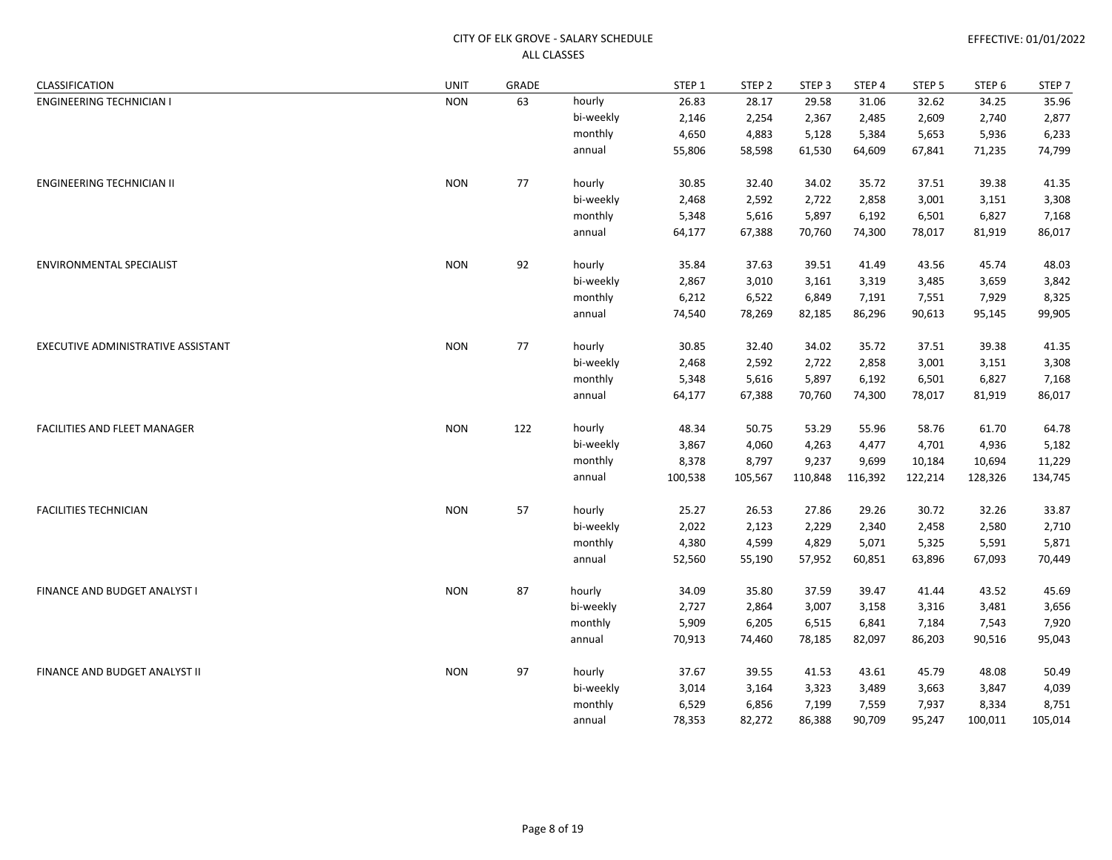| CLASSIFICATION                     | <b>UNIT</b> | GRADE |           | STEP 1  | STEP <sub>2</sub> | STEP <sub>3</sub> | STEP 4  | STEP 5  | STEP 6  | STEP <sub>7</sub> |
|------------------------------------|-------------|-------|-----------|---------|-------------------|-------------------|---------|---------|---------|-------------------|
| <b>ENGINEERING TECHNICIAN I</b>    | <b>NON</b>  | 63    | hourly    | 26.83   | 28.17             | 29.58             | 31.06   | 32.62   | 34.25   | 35.96             |
|                                    |             |       | bi-weekly | 2,146   | 2,254             | 2,367             | 2,485   | 2,609   | 2,740   | 2,877             |
|                                    |             |       | monthly   | 4,650   | 4,883             | 5,128             | 5,384   | 5,653   | 5,936   | 6,233             |
|                                    |             |       | annual    | 55,806  | 58,598            | 61,530            | 64,609  | 67,841  | 71,235  | 74,799            |
| ENGINEERING TECHNICIAN II          | <b>NON</b>  | 77    | hourly    | 30.85   | 32.40             | 34.02             | 35.72   | 37.51   | 39.38   | 41.35             |
|                                    |             |       | bi-weekly | 2,468   | 2,592             | 2,722             | 2,858   | 3,001   | 3,151   | 3,308             |
|                                    |             |       | monthly   | 5,348   | 5,616             | 5,897             | 6,192   | 6,501   | 6,827   | 7,168             |
|                                    |             |       | annual    | 64,177  | 67,388            | 70,760            | 74,300  | 78,017  | 81,919  | 86,017            |
| <b>ENVIRONMENTAL SPECIALIST</b>    | <b>NON</b>  | 92    | hourly    | 35.84   | 37.63             | 39.51             | 41.49   | 43.56   | 45.74   | 48.03             |
|                                    |             |       | bi-weekly | 2,867   | 3,010             | 3,161             | 3,319   | 3,485   | 3,659   | 3,842             |
|                                    |             |       | monthly   | 6,212   | 6,522             | 6,849             | 7,191   | 7,551   | 7,929   | 8,325             |
|                                    |             |       | annual    | 74,540  | 78,269            | 82,185            | 86,296  | 90,613  | 95,145  | 99,905            |
| EXECUTIVE ADMINISTRATIVE ASSISTANT | <b>NON</b>  | 77    | hourly    | 30.85   | 32.40             | 34.02             | 35.72   | 37.51   | 39.38   | 41.35             |
|                                    |             |       | bi-weekly | 2,468   | 2,592             | 2,722             | 2,858   | 3,001   | 3,151   | 3,308             |
|                                    |             |       | monthly   | 5,348   | 5,616             | 5,897             | 6,192   | 6,501   | 6,827   | 7,168             |
|                                    |             |       | annual    | 64,177  | 67,388            | 70,760            | 74,300  | 78,017  | 81,919  | 86,017            |
| FACILITIES AND FLEET MANAGER       | <b>NON</b>  | 122   | hourly    | 48.34   | 50.75             | 53.29             | 55.96   | 58.76   | 61.70   | 64.78             |
|                                    |             |       | bi-weekly | 3,867   | 4,060             | 4,263             | 4,477   | 4,701   | 4,936   | 5,182             |
|                                    |             |       | monthly   | 8,378   | 8,797             | 9,237             | 9,699   | 10,184  | 10,694  | 11,229            |
|                                    |             |       | annual    | 100,538 | 105,567           | 110,848           | 116,392 | 122,214 | 128,326 | 134,745           |
| <b>FACILITIES TECHNICIAN</b>       | <b>NON</b>  | 57    | hourly    | 25.27   | 26.53             | 27.86             | 29.26   | 30.72   | 32.26   | 33.87             |
|                                    |             |       | bi-weekly | 2,022   | 2,123             | 2,229             | 2,340   | 2,458   | 2,580   | 2,710             |
|                                    |             |       | monthly   | 4,380   | 4,599             | 4,829             | 5,071   | 5,325   | 5,591   | 5,871             |
|                                    |             |       | annual    | 52,560  | 55,190            | 57,952            | 60,851  | 63,896  | 67,093  | 70,449            |
| FINANCE AND BUDGET ANALYST I       | <b>NON</b>  | 87    | hourly    | 34.09   | 35.80             | 37.59             | 39.47   | 41.44   | 43.52   | 45.69             |
|                                    |             |       | bi-weekly | 2,727   | 2,864             | 3,007             | 3,158   | 3,316   | 3,481   | 3,656             |
|                                    |             |       | monthly   | 5,909   | 6,205             | 6,515             | 6,841   | 7,184   | 7,543   | 7,920             |
|                                    |             |       | annual    | 70,913  | 74,460            | 78,185            | 82,097  | 86,203  | 90,516  | 95,043            |
| FINANCE AND BUDGET ANALYST II      | <b>NON</b>  | 97    | hourly    | 37.67   | 39.55             | 41.53             | 43.61   | 45.79   | 48.08   | 50.49             |
|                                    |             |       | bi-weekly | 3,014   | 3,164             | 3,323             | 3,489   | 3,663   | 3,847   | 4,039             |
|                                    |             |       | monthly   | 6,529   | 6,856             | 7,199             | 7,559   | 7,937   | 8,334   | 8,751             |
|                                    |             |       | annual    | 78,353  | 82,272            | 86,388            | 90,709  | 95,247  | 100,011 | 105,014           |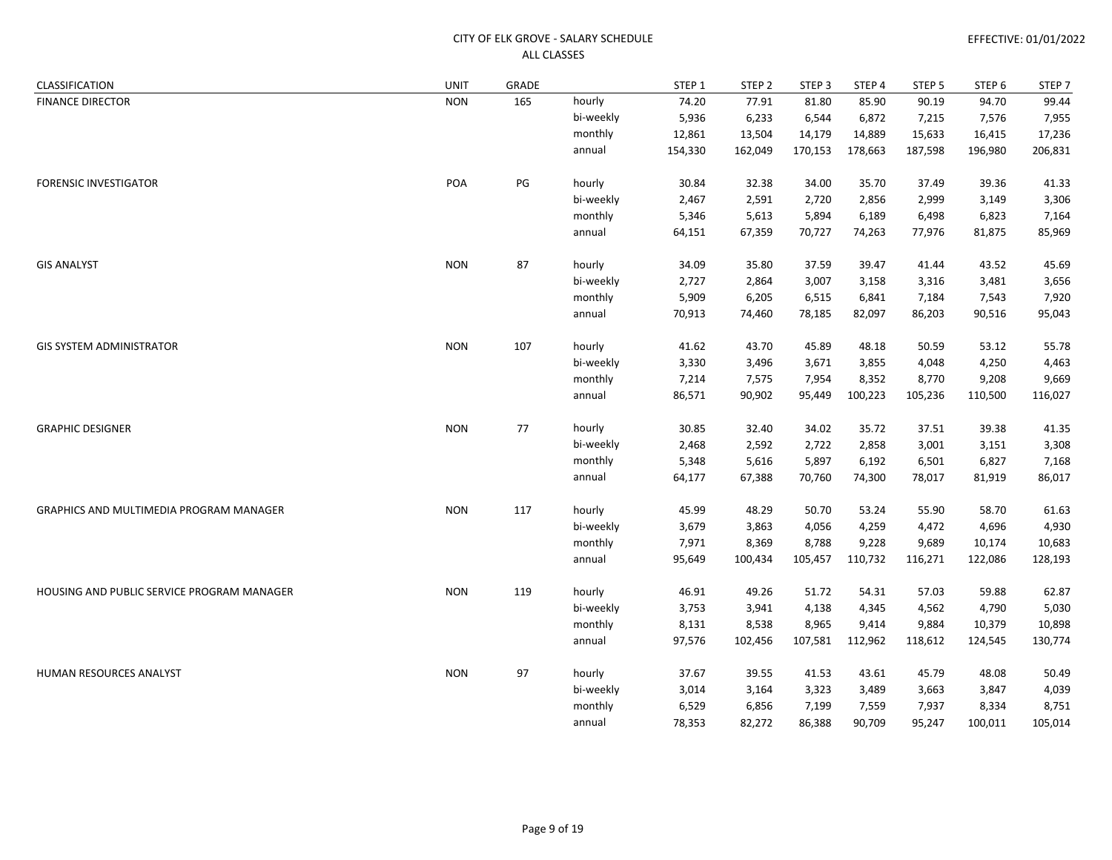| CLASSIFICATION                             | <b>UNIT</b> | GRADE |           | STEP 1  | STEP <sub>2</sub> | STEP <sub>3</sub> | STEP 4  | STEP <sub>5</sub> | STEP <sub>6</sub> | STEP 7  |
|--------------------------------------------|-------------|-------|-----------|---------|-------------------|-------------------|---------|-------------------|-------------------|---------|
| <b>FINANCE DIRECTOR</b>                    | <b>NON</b>  | 165   | hourly    | 74.20   | 77.91             | 81.80             | 85.90   | 90.19             | 94.70             | 99.44   |
|                                            |             |       | bi-weekly | 5,936   | 6,233             | 6,544             | 6,872   | 7,215             | 7,576             | 7,955   |
|                                            |             |       | monthly   | 12,861  | 13,504            | 14,179            | 14,889  | 15,633            | 16,415            | 17,236  |
|                                            |             |       | annual    | 154,330 | 162,049           | 170,153           | 178,663 | 187,598           | 196,980           | 206,831 |
| <b>FORENSIC INVESTIGATOR</b>               | POA         | PG    | hourly    | 30.84   | 32.38             | 34.00             | 35.70   | 37.49             | 39.36             | 41.33   |
|                                            |             |       | bi-weekly | 2,467   | 2,591             | 2,720             | 2,856   | 2,999             | 3,149             | 3,306   |
|                                            |             |       | monthly   | 5,346   | 5,613             | 5,894             | 6,189   | 6,498             | 6,823             | 7,164   |
|                                            |             |       | annual    | 64,151  | 67,359            | 70,727            | 74,263  | 77,976            | 81,875            | 85,969  |
| <b>GIS ANALYST</b>                         | <b>NON</b>  | 87    | hourly    | 34.09   | 35.80             | 37.59             | 39.47   | 41.44             | 43.52             | 45.69   |
|                                            |             |       | bi-weekly | 2,727   | 2,864             | 3,007             | 3,158   | 3,316             | 3,481             | 3,656   |
|                                            |             |       | monthly   | 5,909   | 6,205             | 6,515             | 6,841   | 7,184             | 7,543             | 7,920   |
|                                            |             |       | annual    | 70,913  | 74,460            | 78,185            | 82,097  | 86,203            | 90,516            | 95,043  |
| <b>GIS SYSTEM ADMINISTRATOR</b>            | <b>NON</b>  | 107   | hourly    | 41.62   | 43.70             | 45.89             | 48.18   | 50.59             | 53.12             | 55.78   |
|                                            |             |       | bi-weekly | 3,330   | 3,496             | 3,671             | 3,855   | 4,048             | 4,250             | 4,463   |
|                                            |             |       | monthly   | 7,214   | 7,575             | 7,954             | 8,352   | 8,770             | 9,208             | 9,669   |
|                                            |             |       | annual    | 86,571  | 90,902            | 95,449            | 100,223 | 105,236           | 110,500           | 116,027 |
| <b>GRAPHIC DESIGNER</b>                    | <b>NON</b>  | 77    | hourly    | 30.85   | 32.40             | 34.02             | 35.72   | 37.51             | 39.38             | 41.35   |
|                                            |             |       | bi-weekly | 2,468   | 2,592             | 2,722             | 2,858   | 3,001             | 3,151             | 3,308   |
|                                            |             |       | monthly   | 5,348   | 5,616             | 5,897             | 6,192   | 6,501             | 6,827             | 7,168   |
|                                            |             |       | annual    | 64,177  | 67,388            | 70,760            | 74,300  | 78,017            | 81,919            | 86,017  |
| GRAPHICS AND MULTIMEDIA PROGRAM MANAGER    | <b>NON</b>  | 117   | hourly    | 45.99   | 48.29             | 50.70             | 53.24   | 55.90             | 58.70             | 61.63   |
|                                            |             |       | bi-weekly | 3,679   | 3,863             | 4,056             | 4,259   | 4,472             | 4,696             | 4,930   |
|                                            |             |       | monthly   | 7,971   | 8,369             | 8,788             | 9,228   | 9,689             | 10,174            | 10,683  |
|                                            |             |       | annual    | 95,649  | 100,434           | 105,457           | 110,732 | 116,271           | 122,086           | 128,193 |
| HOUSING AND PUBLIC SERVICE PROGRAM MANAGER | <b>NON</b>  | 119   | hourly    | 46.91   | 49.26             | 51.72             | 54.31   | 57.03             | 59.88             | 62.87   |
|                                            |             |       | bi-weekly | 3,753   | 3,941             | 4,138             | 4,345   | 4,562             | 4,790             | 5,030   |
|                                            |             |       | monthly   | 8,131   | 8,538             | 8,965             | 9,414   | 9,884             | 10,379            | 10,898  |
|                                            |             |       | annual    | 97,576  | 102,456           | 107,581           | 112,962 | 118,612           | 124,545           | 130,774 |
| HUMAN RESOURCES ANALYST                    | <b>NON</b>  | 97    | hourly    | 37.67   | 39.55             | 41.53             | 43.61   | 45.79             | 48.08             | 50.49   |
|                                            |             |       | bi-weekly | 3,014   | 3,164             | 3,323             | 3,489   | 3,663             | 3,847             | 4,039   |
|                                            |             |       | monthly   | 6,529   | 6,856             | 7,199             | 7,559   | 7,937             | 8,334             | 8,751   |
|                                            |             |       | annual    | 78,353  | 82,272            | 86,388            | 90,709  | 95,247            | 100,011           | 105,014 |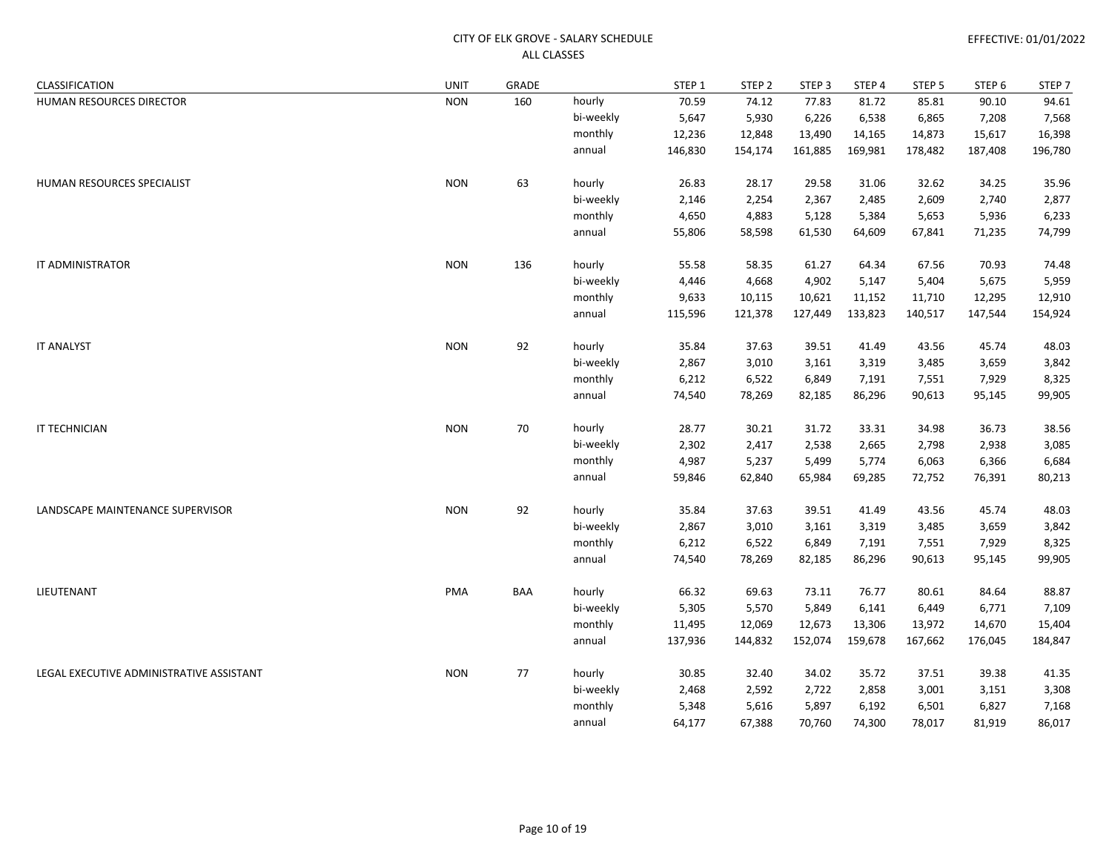| CLASSIFICATION                           | <b>UNIT</b> | GRADE |           | STEP 1  | STEP <sub>2</sub> | STEP <sub>3</sub> | STEP 4  | STEP 5  | STEP 6  | STEP <sub>7</sub> |
|------------------------------------------|-------------|-------|-----------|---------|-------------------|-------------------|---------|---------|---------|-------------------|
| HUMAN RESOURCES DIRECTOR                 | <b>NON</b>  | 160   | hourly    | 70.59   | 74.12             | 77.83             | 81.72   | 85.81   | 90.10   | 94.61             |
|                                          |             |       | bi-weekly | 5,647   | 5,930             | 6,226             | 6,538   | 6,865   | 7,208   | 7,568             |
|                                          |             |       | monthly   | 12,236  | 12,848            | 13,490            | 14,165  | 14,873  | 15,617  | 16,398            |
|                                          |             |       | annual    | 146,830 | 154,174           | 161,885           | 169,981 | 178,482 | 187,408 | 196,780           |
| HUMAN RESOURCES SPECIALIST               | <b>NON</b>  | 63    | hourly    | 26.83   | 28.17             | 29.58             | 31.06   | 32.62   | 34.25   | 35.96             |
|                                          |             |       | bi-weekly | 2,146   | 2,254             | 2,367             | 2,485   | 2,609   | 2,740   | 2,877             |
|                                          |             |       | monthly   | 4,650   | 4,883             | 5,128             | 5,384   | 5,653   | 5,936   | 6,233             |
|                                          |             |       | annual    | 55,806  | 58,598            | 61,530            | 64,609  | 67,841  | 71,235  | 74,799            |
| IT ADMINISTRATOR                         | <b>NON</b>  | 136   | hourly    | 55.58   | 58.35             | 61.27             | 64.34   | 67.56   | 70.93   | 74.48             |
|                                          |             |       | bi-weekly | 4,446   | 4,668             | 4,902             | 5,147   | 5,404   | 5,675   | 5,959             |
|                                          |             |       | monthly   | 9,633   | 10,115            | 10,621            | 11,152  | 11,710  | 12,295  | 12,910            |
|                                          |             |       | annual    | 115,596 | 121,378           | 127,449           | 133,823 | 140,517 | 147,544 | 154,924           |
| <b>IT ANALYST</b>                        | <b>NON</b>  | 92    | hourly    | 35.84   | 37.63             | 39.51             | 41.49   | 43.56   | 45.74   | 48.03             |
|                                          |             |       | bi-weekly | 2,867   | 3,010             | 3,161             | 3,319   | 3,485   | 3,659   | 3,842             |
|                                          |             |       | monthly   | 6,212   | 6,522             | 6,849             | 7,191   | 7,551   | 7,929   | 8,325             |
|                                          |             |       | annual    | 74,540  | 78,269            | 82,185            | 86,296  | 90,613  | 95,145  | 99,905            |
| IT TECHNICIAN                            | <b>NON</b>  | 70    | hourly    | 28.77   | 30.21             | 31.72             | 33.31   | 34.98   | 36.73   | 38.56             |
|                                          |             |       | bi-weekly | 2,302   | 2,417             | 2,538             | 2,665   | 2,798   | 2,938   | 3,085             |
|                                          |             |       | monthly   | 4,987   | 5,237             | 5,499             | 5,774   | 6,063   | 6,366   | 6,684             |
|                                          |             |       | annual    | 59,846  | 62,840            | 65,984            | 69,285  | 72,752  | 76,391  | 80,213            |
| LANDSCAPE MAINTENANCE SUPERVISOR         | <b>NON</b>  | 92    | hourly    | 35.84   | 37.63             | 39.51             | 41.49   | 43.56   | 45.74   | 48.03             |
|                                          |             |       | bi-weekly | 2,867   | 3,010             | 3,161             | 3,319   | 3,485   | 3,659   | 3,842             |
|                                          |             |       | monthly   | 6,212   | 6,522             | 6,849             | 7,191   | 7,551   | 7,929   | 8,325             |
|                                          |             |       | annual    | 74,540  | 78,269            | 82,185            | 86,296  | 90,613  | 95,145  | 99,905            |
| LIEUTENANT                               | PMA         | BAA   | hourly    | 66.32   | 69.63             | 73.11             | 76.77   | 80.61   | 84.64   | 88.87             |
|                                          |             |       | bi-weekly | 5,305   | 5,570             | 5,849             | 6,141   | 6,449   | 6,771   | 7,109             |
|                                          |             |       | monthly   | 11,495  | 12,069            | 12,673            | 13,306  | 13,972  | 14,670  | 15,404            |
|                                          |             |       | annual    | 137,936 | 144,832           | 152,074           | 159,678 | 167,662 | 176,045 | 184,847           |
| LEGAL EXECUTIVE ADMINISTRATIVE ASSISTANT | <b>NON</b>  | 77    | hourly    | 30.85   | 32.40             | 34.02             | 35.72   | 37.51   | 39.38   | 41.35             |
|                                          |             |       | bi-weekly | 2,468   | 2,592             | 2,722             | 2,858   | 3,001   | 3,151   | 3,308             |
|                                          |             |       | monthly   | 5,348   | 5,616             | 5,897             | 6,192   | 6,501   | 6,827   | 7,168             |
|                                          |             |       | annual    | 64,177  | 67,388            | 70,760            | 74,300  | 78,017  | 81,919  | 86,017            |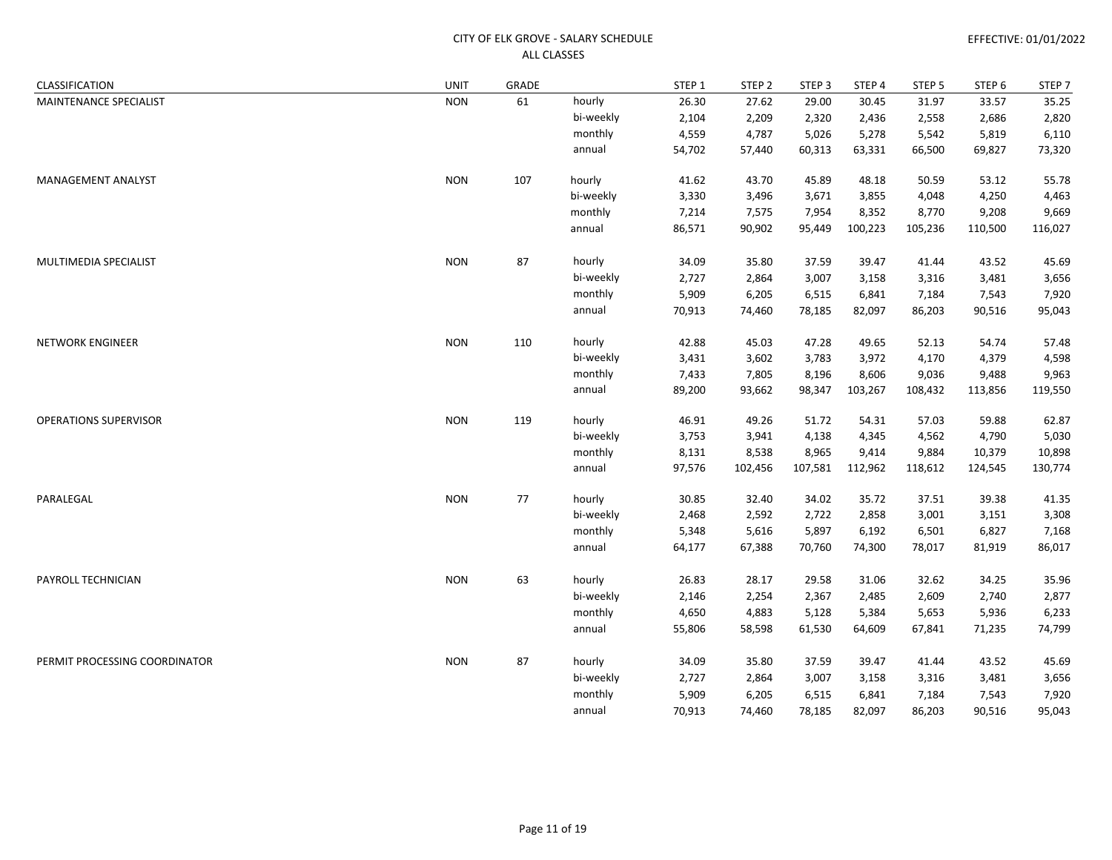| CLASSIFICATION                | <b>UNIT</b> | GRADE |           | STEP 1 | STEP <sub>2</sub> | STEP <sub>3</sub> | STEP 4  | STEP <sub>5</sub> | STEP <sub>6</sub> | STEP <sub>7</sub> |
|-------------------------------|-------------|-------|-----------|--------|-------------------|-------------------|---------|-------------------|-------------------|-------------------|
| MAINTENANCE SPECIALIST        | <b>NON</b>  | 61    | hourly    | 26.30  | 27.62             | 29.00             | 30.45   | 31.97             | 33.57             | 35.25             |
|                               |             |       | bi-weekly | 2,104  | 2,209             | 2,320             | 2,436   | 2,558             | 2,686             | 2,820             |
|                               |             |       | monthly   | 4,559  | 4,787             | 5,026             | 5,278   | 5,542             | 5,819             | 6,110             |
|                               |             |       | annual    | 54,702 | 57,440            | 60,313            | 63,331  | 66,500            | 69,827            | 73,320            |
| <b>MANAGEMENT ANALYST</b>     | <b>NON</b>  | 107   | hourly    | 41.62  | 43.70             | 45.89             | 48.18   | 50.59             | 53.12             | 55.78             |
|                               |             |       | bi-weekly | 3,330  | 3,496             | 3,671             | 3,855   | 4,048             | 4,250             | 4,463             |
|                               |             |       | monthly   | 7,214  | 7,575             | 7,954             | 8,352   | 8,770             | 9,208             | 9,669             |
|                               |             |       | annual    | 86,571 | 90,902            | 95,449            | 100,223 | 105,236           | 110,500           | 116,027           |
| MULTIMEDIA SPECIALIST         | <b>NON</b>  | 87    | hourly    | 34.09  | 35.80             | 37.59             | 39.47   | 41.44             | 43.52             | 45.69             |
|                               |             |       | bi-weekly | 2,727  | 2,864             | 3,007             | 3,158   | 3,316             | 3,481             | 3,656             |
|                               |             |       | monthly   | 5,909  | 6,205             | 6,515             | 6,841   | 7,184             | 7,543             | 7,920             |
|                               |             |       | annual    | 70,913 | 74,460            | 78,185            | 82,097  | 86,203            | 90,516            | 95,043            |
| <b>NETWORK ENGINEER</b>       | <b>NON</b>  | 110   | hourly    | 42.88  | 45.03             | 47.28             | 49.65   | 52.13             | 54.74             | 57.48             |
|                               |             |       | bi-weekly | 3,431  | 3,602             | 3,783             | 3,972   | 4,170             | 4,379             | 4,598             |
|                               |             |       | monthly   | 7,433  | 7,805             | 8,196             | 8,606   | 9,036             | 9,488             | 9,963             |
|                               |             |       | annual    | 89,200 | 93,662            | 98,347            | 103,267 | 108,432           | 113,856           | 119,550           |
| <b>OPERATIONS SUPERVISOR</b>  | <b>NON</b>  | 119   | hourly    | 46.91  | 49.26             | 51.72             | 54.31   | 57.03             | 59.88             | 62.87             |
|                               |             |       | bi-weekly | 3,753  | 3,941             | 4,138             | 4,345   | 4,562             | 4,790             | 5,030             |
|                               |             |       | monthly   | 8,131  | 8,538             | 8,965             | 9,414   | 9,884             | 10,379            | 10,898            |
|                               |             |       | annual    | 97,576 | 102,456           | 107,581           | 112,962 | 118,612           | 124,545           | 130,774           |
| PARALEGAL                     | <b>NON</b>  | 77    | hourly    | 30.85  | 32.40             | 34.02             | 35.72   | 37.51             | 39.38             | 41.35             |
|                               |             |       | bi-weekly | 2,468  | 2,592             | 2,722             | 2,858   | 3,001             | 3,151             | 3,308             |
|                               |             |       | monthly   | 5,348  | 5,616             | 5,897             | 6,192   | 6,501             | 6,827             | 7,168             |
|                               |             |       | annual    | 64,177 | 67,388            | 70,760            | 74,300  | 78,017            | 81,919            | 86,017            |
| PAYROLL TECHNICIAN            | <b>NON</b>  | 63    | hourly    | 26.83  | 28.17             | 29.58             | 31.06   | 32.62             | 34.25             | 35.96             |
|                               |             |       | bi-weekly | 2,146  | 2,254             | 2,367             | 2,485   | 2,609             | 2,740             | 2,877             |
|                               |             |       | monthly   | 4,650  | 4,883             | 5,128             | 5,384   | 5,653             | 5,936             | 6,233             |
|                               |             |       | annual    | 55,806 | 58,598            | 61,530            | 64,609  | 67,841            | 71,235            | 74,799            |
| PERMIT PROCESSING COORDINATOR | <b>NON</b>  | 87    | hourly    | 34.09  | 35.80             | 37.59             | 39.47   | 41.44             | 43.52             | 45.69             |
|                               |             |       | bi-weekly | 2,727  | 2,864             | 3,007             | 3,158   | 3,316             | 3,481             | 3,656             |
|                               |             |       | monthly   | 5,909  | 6,205             | 6,515             | 6,841   | 7,184             | 7,543             | 7,920             |
|                               |             |       | annual    | 70,913 | 74,460            | 78,185            | 82,097  | 86,203            | 90,516            | 95,043            |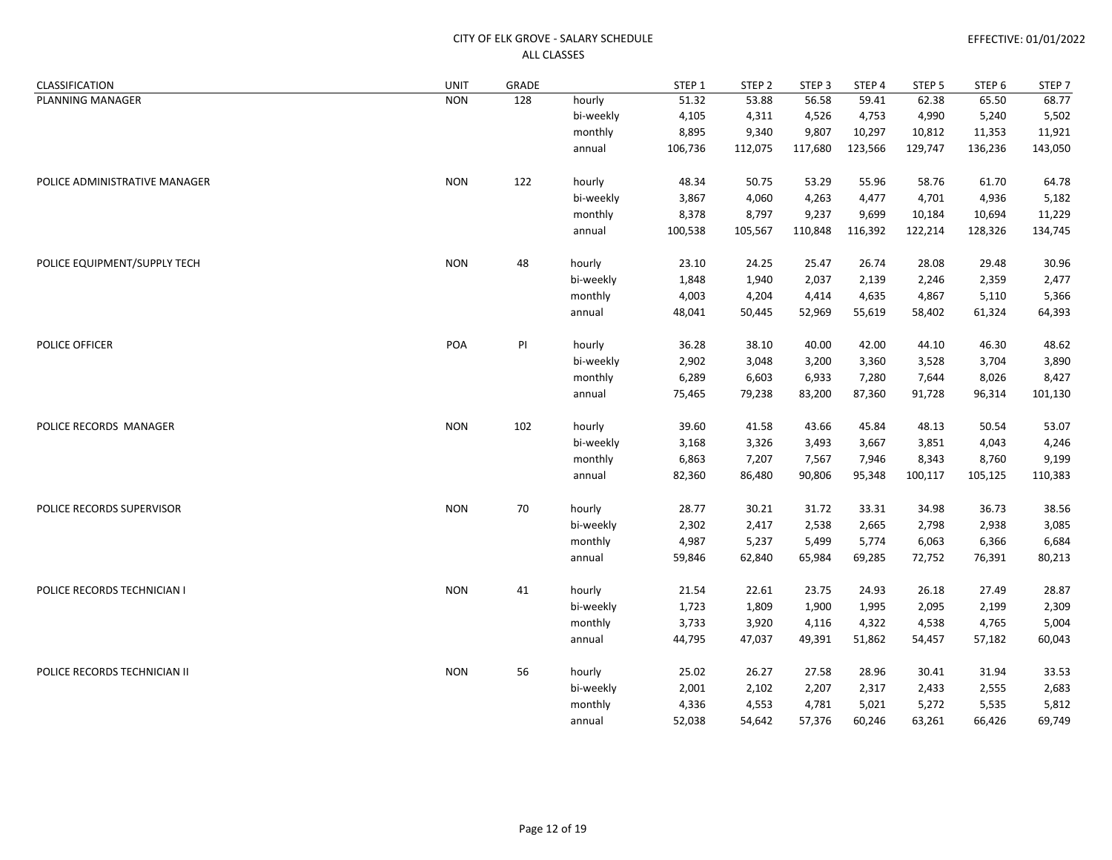| CLASSIFICATION                | <b>UNIT</b> | GRADE |           | STEP 1  | STEP <sub>2</sub> | STEP <sub>3</sub> | STEP 4  | STEP 5  | STEP <sub>6</sub> | STEP <sub>7</sub> |
|-------------------------------|-------------|-------|-----------|---------|-------------------|-------------------|---------|---------|-------------------|-------------------|
| PLANNING MANAGER              | <b>NON</b>  | 128   | hourly    | 51.32   | 53.88             | 56.58             | 59.41   | 62.38   | 65.50             | 68.77             |
|                               |             |       | bi-weekly | 4,105   | 4,311             | 4,526             | 4,753   | 4,990   | 5,240             | 5,502             |
|                               |             |       | monthly   | 8,895   | 9,340             | 9,807             | 10,297  | 10,812  | 11,353            | 11,921            |
|                               |             |       | annual    | 106,736 | 112,075           | 117,680           | 123,566 | 129,747 | 136,236           | 143,050           |
| POLICE ADMINISTRATIVE MANAGER | <b>NON</b>  | 122   | hourly    | 48.34   | 50.75             | 53.29             | 55.96   | 58.76   | 61.70             | 64.78             |
|                               |             |       | bi-weekly | 3,867   | 4,060             | 4,263             | 4,477   | 4,701   | 4,936             | 5,182             |
|                               |             |       | monthly   | 8,378   | 8,797             | 9,237             | 9,699   | 10,184  | 10,694            | 11,229            |
|                               |             |       | annual    | 100,538 | 105,567           | 110,848           | 116,392 | 122,214 | 128,326           | 134,745           |
| POLICE EQUIPMENT/SUPPLY TECH  | <b>NON</b>  | 48    | hourly    | 23.10   | 24.25             | 25.47             | 26.74   | 28.08   | 29.48             | 30.96             |
|                               |             |       | bi-weekly | 1,848   | 1,940             | 2,037             | 2,139   | 2,246   | 2,359             | 2,477             |
|                               |             |       | monthly   | 4,003   | 4,204             | 4,414             | 4,635   | 4,867   | 5,110             | 5,366             |
|                               |             |       | annual    | 48,041  | 50,445            | 52,969            | 55,619  | 58,402  | 61,324            | 64,393            |
| POLICE OFFICER                | POA         | PI    | hourly    | 36.28   | 38.10             | 40.00             | 42.00   | 44.10   | 46.30             | 48.62             |
|                               |             |       | bi-weekly | 2,902   | 3,048             | 3,200             | 3,360   | 3,528   | 3,704             | 3,890             |
|                               |             |       | monthly   | 6,289   | 6,603             | 6,933             | 7,280   | 7,644   | 8,026             | 8,427             |
|                               |             |       | annual    | 75,465  | 79,238            | 83,200            | 87,360  | 91,728  | 96,314            | 101,130           |
| POLICE RECORDS MANAGER        | <b>NON</b>  | 102   | hourly    | 39.60   | 41.58             | 43.66             | 45.84   | 48.13   | 50.54             | 53.07             |
|                               |             |       | bi-weekly | 3,168   | 3,326             | 3,493             | 3,667   | 3,851   | 4,043             | 4,246             |
|                               |             |       | monthly   | 6,863   | 7,207             | 7,567             | 7,946   | 8,343   | 8,760             | 9,199             |
|                               |             |       | annual    | 82,360  | 86,480            | 90,806            | 95,348  | 100,117 | 105,125           | 110,383           |
| POLICE RECORDS SUPERVISOR     | <b>NON</b>  | 70    | hourly    | 28.77   | 30.21             | 31.72             | 33.31   | 34.98   | 36.73             | 38.56             |
|                               |             |       | bi-weekly | 2,302   | 2,417             | 2,538             | 2,665   | 2,798   | 2,938             | 3,085             |
|                               |             |       | monthly   | 4,987   | 5,237             | 5,499             | 5,774   | 6,063   | 6,366             | 6,684             |
|                               |             |       | annual    | 59,846  | 62,840            | 65,984            | 69,285  | 72,752  | 76,391            | 80,213            |
| POLICE RECORDS TECHNICIAN I   | <b>NON</b>  | 41    | hourly    | 21.54   | 22.61             | 23.75             | 24.93   | 26.18   | 27.49             | 28.87             |
|                               |             |       | bi-weekly | 1,723   | 1,809             | 1,900             | 1,995   | 2,095   | 2,199             | 2,309             |
|                               |             |       | monthly   | 3,733   | 3,920             | 4,116             | 4,322   | 4,538   | 4,765             | 5,004             |
|                               |             |       | annual    | 44,795  | 47,037            | 49,391            | 51,862  | 54,457  | 57,182            | 60,043            |
| POLICE RECORDS TECHNICIAN II  | <b>NON</b>  | 56    | hourly    | 25.02   | 26.27             | 27.58             | 28.96   | 30.41   | 31.94             | 33.53             |
|                               |             |       | bi-weekly | 2,001   | 2,102             | 2,207             | 2,317   | 2,433   | 2,555             | 2,683             |
|                               |             |       | monthly   | 4,336   | 4,553             | 4,781             | 5,021   | 5,272   | 5,535             | 5,812             |
|                               |             |       | annual    | 52,038  | 54,642            | 57,376            | 60,246  | 63,261  | 66,426            | 69,749            |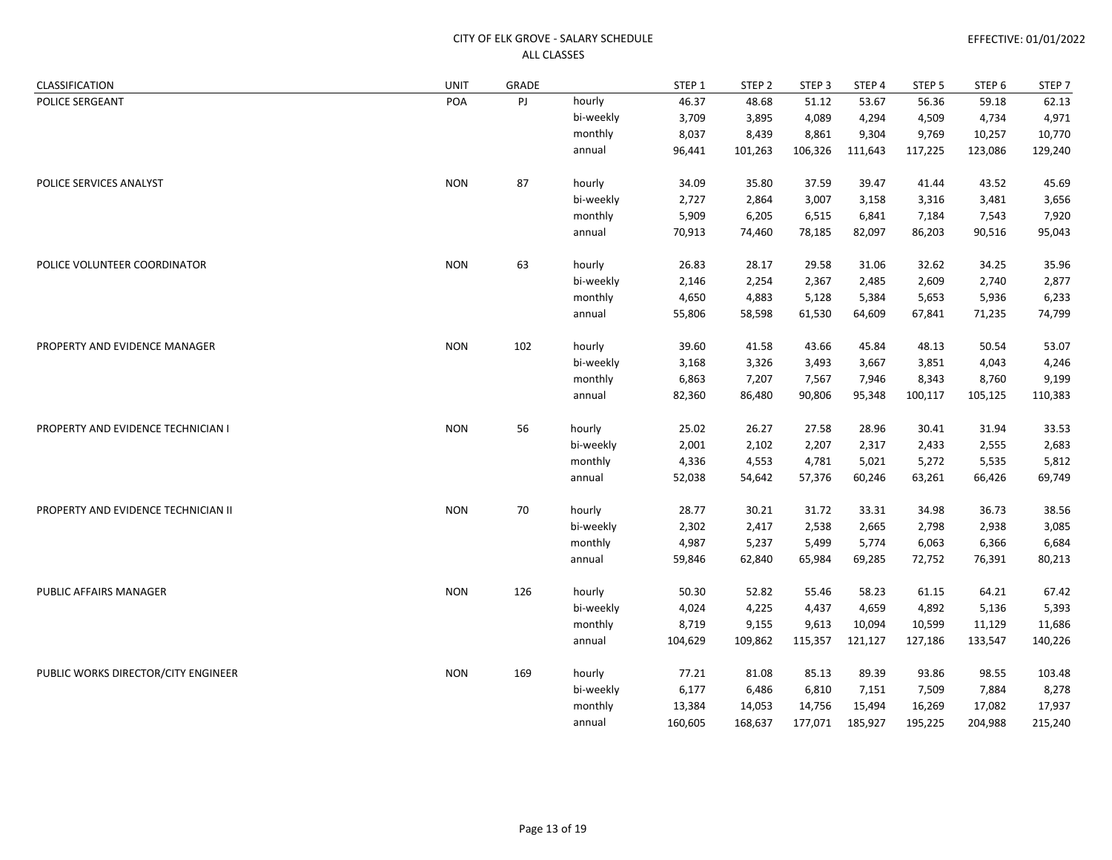| CLASSIFICATION                      | <b>UNIT</b> | GRADE |           | STEP <sub>1</sub> | STEP <sub>2</sub> | STEP <sub>3</sub> | STEP 4  | STEP <sub>5</sub> | STEP <sub>6</sub> | STEP <sub>7</sub> |
|-------------------------------------|-------------|-------|-----------|-------------------|-------------------|-------------------|---------|-------------------|-------------------|-------------------|
| POLICE SERGEANT                     | POA         | PJ    | hourly    | 46.37             | 48.68             | 51.12             | 53.67   | 56.36             | 59.18             | 62.13             |
|                                     |             |       | bi-weekly | 3,709             | 3,895             | 4,089             | 4,294   | 4,509             | 4,734             | 4,971             |
|                                     |             |       | monthly   | 8,037             | 8,439             | 8,861             | 9,304   | 9,769             | 10,257            | 10,770            |
|                                     |             |       | annual    | 96,441            | 101,263           | 106,326           | 111,643 | 117,225           | 123,086           | 129,240           |
| POLICE SERVICES ANALYST             | <b>NON</b>  | 87    | hourly    | 34.09             | 35.80             | 37.59             | 39.47   | 41.44             | 43.52             | 45.69             |
|                                     |             |       | bi-weekly | 2,727             | 2,864             | 3,007             | 3,158   | 3,316             | 3,481             | 3,656             |
|                                     |             |       | monthly   | 5,909             | 6,205             | 6,515             | 6,841   | 7,184             | 7,543             | 7,920             |
|                                     |             |       | annual    | 70,913            | 74,460            | 78,185            | 82,097  | 86,203            | 90,516            | 95,043            |
| POLICE VOLUNTEER COORDINATOR        | <b>NON</b>  | 63    | hourly    | 26.83             | 28.17             | 29.58             | 31.06   | 32.62             | 34.25             | 35.96             |
|                                     |             |       | bi-weekly | 2,146             | 2,254             | 2,367             | 2,485   | 2,609             | 2,740             | 2,877             |
|                                     |             |       | monthly   | 4,650             | 4,883             | 5,128             | 5,384   | 5,653             | 5,936             | 6,233             |
|                                     |             |       | annual    | 55,806            | 58,598            | 61,530            | 64,609  | 67,841            | 71,235            | 74,799            |
| PROPERTY AND EVIDENCE MANAGER       | <b>NON</b>  | 102   | hourly    | 39.60             | 41.58             | 43.66             | 45.84   | 48.13             | 50.54             | 53.07             |
|                                     |             |       | bi-weekly | 3,168             | 3,326             | 3,493             | 3,667   | 3,851             | 4,043             | 4,246             |
|                                     |             |       | monthly   | 6,863             | 7,207             | 7,567             | 7,946   | 8,343             | 8,760             | 9,199             |
|                                     |             |       | annual    | 82,360            | 86,480            | 90,806            | 95,348  | 100,117           | 105,125           | 110,383           |
| PROPERTY AND EVIDENCE TECHNICIAN I  | <b>NON</b>  | 56    | hourly    | 25.02             | 26.27             | 27.58             | 28.96   | 30.41             | 31.94             | 33.53             |
|                                     |             |       | bi-weekly | 2,001             | 2,102             | 2,207             | 2,317   | 2,433             | 2,555             | 2,683             |
|                                     |             |       | monthly   | 4,336             | 4,553             | 4,781             | 5,021   | 5,272             | 5,535             | 5,812             |
|                                     |             |       | annual    | 52,038            | 54,642            | 57,376            | 60,246  | 63,261            | 66,426            | 69,749            |
| PROPERTY AND EVIDENCE TECHNICIAN II | <b>NON</b>  | 70    | hourly    | 28.77             | 30.21             | 31.72             | 33.31   | 34.98             | 36.73             | 38.56             |
|                                     |             |       | bi-weekly | 2,302             | 2,417             | 2,538             | 2,665   | 2,798             | 2,938             | 3,085             |
|                                     |             |       | monthly   | 4,987             | 5,237             | 5,499             | 5,774   | 6,063             | 6,366             | 6,684             |
|                                     |             |       | annual    | 59,846            | 62,840            | 65,984            | 69,285  | 72,752            | 76,391            | 80,213            |
| PUBLIC AFFAIRS MANAGER              | <b>NON</b>  | 126   | hourly    | 50.30             | 52.82             | 55.46             | 58.23   | 61.15             | 64.21             | 67.42             |
|                                     |             |       | bi-weekly | 4,024             | 4,225             | 4,437             | 4,659   | 4,892             | 5,136             | 5,393             |
|                                     |             |       | monthly   | 8,719             | 9,155             | 9,613             | 10,094  | 10,599            | 11,129            | 11,686            |
|                                     |             |       | annual    | 104,629           | 109,862           | 115,357           | 121,127 | 127,186           | 133,547           | 140,226           |
| PUBLIC WORKS DIRECTOR/CITY ENGINEER | <b>NON</b>  | 169   | hourly    | 77.21             | 81.08             | 85.13             | 89.39   | 93.86             | 98.55             | 103.48            |
|                                     |             |       | bi-weekly | 6,177             | 6,486             | 6,810             | 7,151   | 7,509             | 7,884             | 8,278             |
|                                     |             |       | monthly   | 13,384            | 14,053            | 14,756            | 15,494  | 16,269            | 17,082            | 17,937            |
|                                     |             |       | annual    | 160,605           | 168,637           | 177,071           | 185,927 | 195,225           | 204,988           | 215,240           |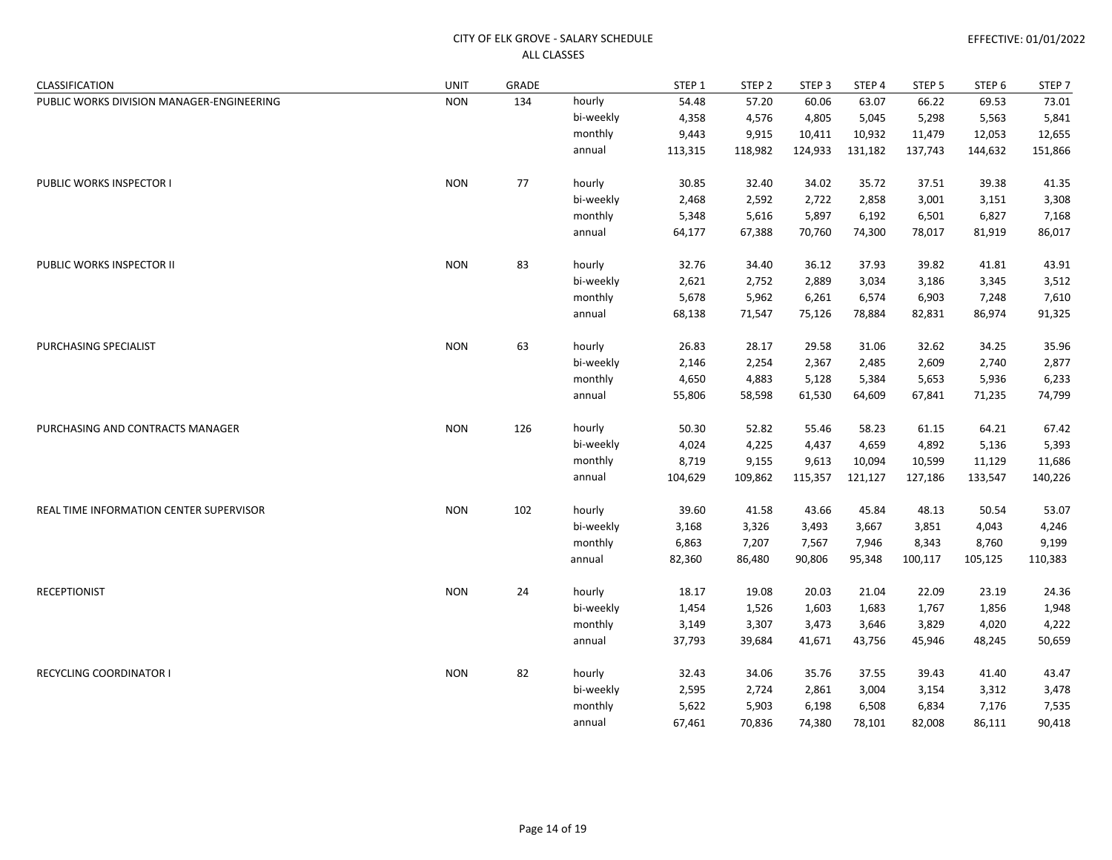| CLASSIFICATION                            | <b>UNIT</b> | GRADE |           | STEP 1  | STEP <sub>2</sub> | STEP <sub>3</sub> | STEP 4  | STEP <sub>5</sub> | STEP <sub>6</sub> | STEP 7  |
|-------------------------------------------|-------------|-------|-----------|---------|-------------------|-------------------|---------|-------------------|-------------------|---------|
| PUBLIC WORKS DIVISION MANAGER-ENGINEERING | <b>NON</b>  | 134   | hourly    | 54.48   | 57.20             | 60.06             | 63.07   | 66.22             | 69.53             | 73.01   |
|                                           |             |       | bi-weekly | 4,358   | 4,576             | 4,805             | 5,045   | 5,298             | 5,563             | 5,841   |
|                                           |             |       | monthly   | 9,443   | 9,915             | 10,411            | 10,932  | 11,479            | 12,053            | 12,655  |
|                                           |             |       | annual    | 113,315 | 118,982           | 124,933           | 131,182 | 137,743           | 144,632           | 151,866 |
| PUBLIC WORKS INSPECTOR I                  | <b>NON</b>  | 77    | hourly    | 30.85   | 32.40             | 34.02             | 35.72   | 37.51             | 39.38             | 41.35   |
|                                           |             |       | bi-weekly | 2,468   | 2,592             | 2,722             | 2,858   | 3,001             | 3,151             | 3,308   |
|                                           |             |       | monthly   | 5,348   | 5,616             | 5,897             | 6,192   | 6,501             | 6,827             | 7,168   |
|                                           |             |       | annual    | 64,177  | 67,388            | 70,760            | 74,300  | 78,017            | 81,919            | 86,017  |
| PUBLIC WORKS INSPECTOR II                 | <b>NON</b>  | 83    | hourly    | 32.76   | 34.40             | 36.12             | 37.93   | 39.82             | 41.81             | 43.91   |
|                                           |             |       | bi-weekly | 2,621   | 2,752             | 2,889             | 3,034   | 3,186             | 3,345             | 3,512   |
|                                           |             |       | monthly   | 5,678   | 5,962             | 6,261             | 6,574   | 6,903             | 7,248             | 7,610   |
|                                           |             |       | annual    | 68,138  | 71,547            | 75,126            | 78,884  | 82,831            | 86,974            | 91,325  |
| PURCHASING SPECIALIST                     | <b>NON</b>  | 63    | hourly    | 26.83   | 28.17             | 29.58             | 31.06   | 32.62             | 34.25             | 35.96   |
|                                           |             |       | bi-weekly | 2,146   | 2,254             | 2,367             | 2,485   | 2,609             | 2,740             | 2,877   |
|                                           |             |       | monthly   | 4,650   | 4,883             | 5,128             | 5,384   | 5,653             | 5,936             | 6,233   |
|                                           |             |       | annual    | 55,806  | 58,598            | 61,530            | 64,609  | 67,841            | 71,235            | 74,799  |
| PURCHASING AND CONTRACTS MANAGER          | <b>NON</b>  | 126   | hourly    | 50.30   | 52.82             | 55.46             | 58.23   | 61.15             | 64.21             | 67.42   |
|                                           |             |       | bi-weekly | 4,024   | 4,225             | 4,437             | 4,659   | 4,892             | 5,136             | 5,393   |
|                                           |             |       | monthly   | 8,719   | 9,155             | 9,613             | 10,094  | 10,599            | 11,129            | 11,686  |
|                                           |             |       | annual    | 104,629 | 109,862           | 115,357           | 121,127 | 127,186           | 133,547           | 140,226 |
| REAL TIME INFORMATION CENTER SUPERVISOR   | <b>NON</b>  | 102   | hourly    | 39.60   | 41.58             | 43.66             | 45.84   | 48.13             | 50.54             | 53.07   |
|                                           |             |       | bi-weekly | 3,168   | 3,326             | 3,493             | 3,667   | 3,851             | 4,043             | 4,246   |
|                                           |             |       | monthly   | 6,863   | 7,207             | 7,567             | 7,946   | 8,343             | 8,760             | 9,199   |
|                                           |             |       | annual    | 82,360  | 86,480            | 90,806            | 95,348  | 100,117           | 105,125           | 110,383 |
| <b>RECEPTIONIST</b>                       | <b>NON</b>  | 24    | hourly    | 18.17   | 19.08             | 20.03             | 21.04   | 22.09             | 23.19             | 24.36   |
|                                           |             |       | bi-weekly | 1,454   | 1,526             | 1,603             | 1,683   | 1,767             | 1,856             | 1,948   |
|                                           |             |       | monthly   | 3,149   | 3,307             | 3,473             | 3,646   | 3,829             | 4,020             | 4,222   |
|                                           |             |       | annual    | 37,793  | 39,684            | 41,671            | 43,756  | 45,946            | 48,245            | 50,659  |
| <b>RECYCLING COORDINATOR I</b>            | <b>NON</b>  | 82    | hourly    | 32.43   | 34.06             | 35.76             | 37.55   | 39.43             | 41.40             | 43.47   |
|                                           |             |       | bi-weekly | 2,595   | 2,724             | 2,861             | 3,004   | 3,154             | 3,312             | 3,478   |
|                                           |             |       | monthly   | 5,622   | 5,903             | 6,198             | 6,508   | 6,834             | 7,176             | 7,535   |
|                                           |             |       | annual    | 67,461  | 70,836            | 74,380            | 78,101  | 82,008            | 86,111            | 90,418  |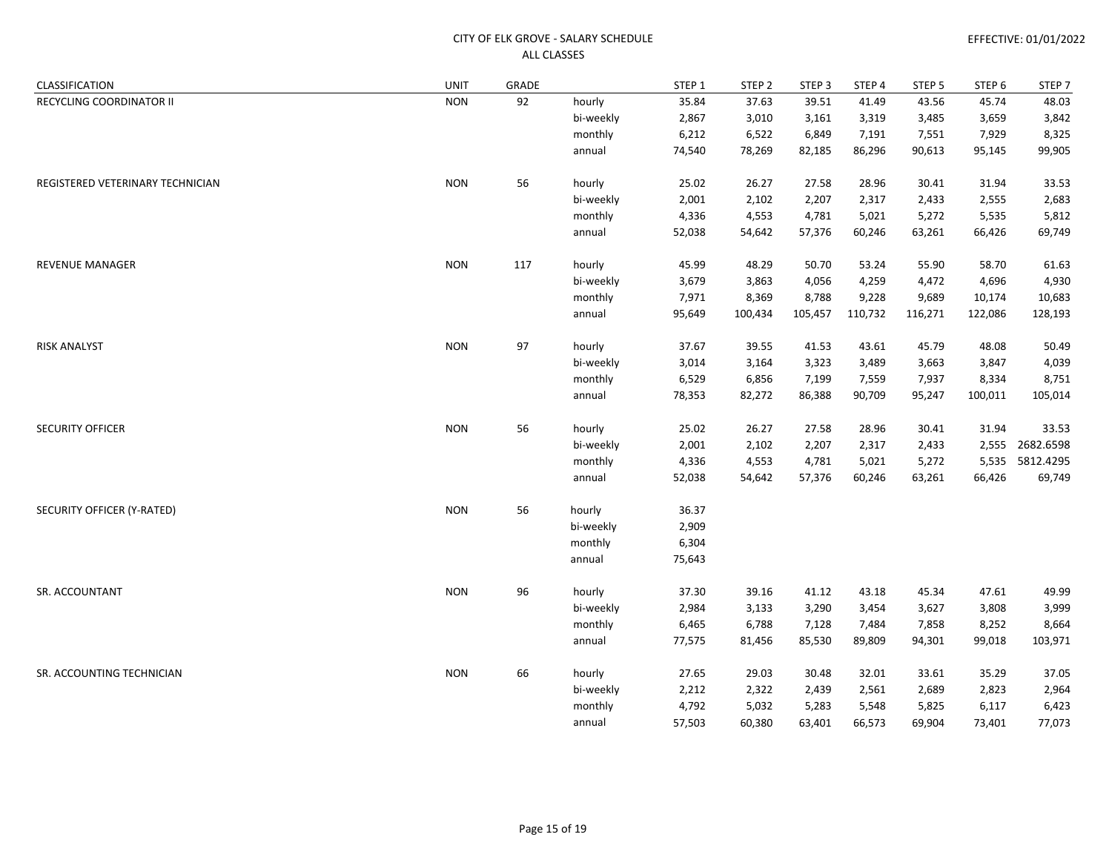| CLASSIFICATION                   | <b>UNIT</b> | GRADE |           | STEP 1 | STEP <sub>2</sub> | STEP <sub>3</sub> | STEP 4  | STEP <sub>5</sub> | STEP <sub>6</sub> | STEP <sub>7</sub> |
|----------------------------------|-------------|-------|-----------|--------|-------------------|-------------------|---------|-------------------|-------------------|-------------------|
| RECYCLING COORDINATOR II         | <b>NON</b>  | 92    | hourly    | 35.84  | 37.63             | 39.51             | 41.49   | 43.56             | 45.74             | 48.03             |
|                                  |             |       | bi-weekly | 2,867  | 3,010             | 3,161             | 3,319   | 3,485             | 3,659             | 3,842             |
|                                  |             |       | monthly   | 6,212  | 6,522             | 6,849             | 7,191   | 7,551             | 7,929             | 8,325             |
|                                  |             |       | annual    | 74,540 | 78,269            | 82,185            | 86,296  | 90,613            | 95,145            | 99,905            |
| REGISTERED VETERINARY TECHNICIAN | <b>NON</b>  | 56    | hourly    | 25.02  | 26.27             | 27.58             | 28.96   | 30.41             | 31.94             | 33.53             |
|                                  |             |       | bi-weekly | 2,001  | 2,102             | 2,207             | 2,317   | 2,433             | 2,555             | 2,683             |
|                                  |             |       | monthly   | 4,336  | 4,553             | 4,781             | 5,021   | 5,272             | 5,535             | 5,812             |
|                                  |             |       | annual    | 52,038 | 54,642            | 57,376            | 60,246  | 63,261            | 66,426            | 69,749            |
| <b>REVENUE MANAGER</b>           | <b>NON</b>  | 117   | hourly    | 45.99  | 48.29             | 50.70             | 53.24   | 55.90             | 58.70             | 61.63             |
|                                  |             |       | bi-weekly | 3,679  | 3,863             | 4,056             | 4,259   | 4,472             | 4,696             | 4,930             |
|                                  |             |       | monthly   | 7,971  | 8,369             | 8,788             | 9,228   | 9,689             | 10,174            | 10,683            |
|                                  |             |       | annual    | 95,649 | 100,434           | 105,457           | 110,732 | 116,271           | 122,086           | 128,193           |
| <b>RISK ANALYST</b>              | <b>NON</b>  | 97    | hourly    | 37.67  | 39.55             | 41.53             | 43.61   | 45.79             | 48.08             | 50.49             |
|                                  |             |       | bi-weekly | 3,014  | 3,164             | 3,323             | 3,489   | 3,663             | 3,847             | 4,039             |
|                                  |             |       | monthly   | 6,529  | 6,856             | 7,199             | 7,559   | 7,937             | 8,334             | 8,751             |
|                                  |             |       | annual    | 78,353 | 82,272            | 86,388            | 90,709  | 95,247            | 100,011           | 105,014           |
| <b>SECURITY OFFICER</b>          | <b>NON</b>  | 56    | hourly    | 25.02  | 26.27             | 27.58             | 28.96   | 30.41             | 31.94             | 33.53             |
|                                  |             |       | bi-weekly | 2,001  | 2,102             | 2,207             | 2,317   | 2,433             | 2,555             | 2682.6598         |
|                                  |             |       | monthly   | 4,336  | 4,553             | 4,781             | 5,021   | 5,272             | 5,535             | 5812.4295         |
|                                  |             |       | annual    | 52,038 | 54,642            | 57,376            | 60,246  | 63,261            | 66,426            | 69,749            |
| SECURITY OFFICER (Y-RATED)       | <b>NON</b>  | 56    | hourly    | 36.37  |                   |                   |         |                   |                   |                   |
|                                  |             |       | bi-weekly | 2,909  |                   |                   |         |                   |                   |                   |
|                                  |             |       | monthly   | 6,304  |                   |                   |         |                   |                   |                   |
|                                  |             |       | annual    | 75,643 |                   |                   |         |                   |                   |                   |
| SR. ACCOUNTANT                   | <b>NON</b>  | 96    | hourly    | 37.30  | 39.16             | 41.12             | 43.18   | 45.34             | 47.61             | 49.99             |
|                                  |             |       | bi-weekly | 2,984  | 3,133             | 3,290             | 3,454   | 3,627             | 3,808             | 3,999             |
|                                  |             |       | monthly   | 6,465  | 6,788             | 7,128             | 7,484   | 7,858             | 8,252             | 8,664             |
|                                  |             |       | annual    | 77,575 | 81,456            | 85,530            | 89,809  | 94,301            | 99,018            | 103,971           |
| SR. ACCOUNTING TECHNICIAN        | <b>NON</b>  | 66    | hourly    | 27.65  | 29.03             | 30.48             | 32.01   | 33.61             | 35.29             | 37.05             |
|                                  |             |       | bi-weekly | 2,212  | 2,322             | 2,439             | 2,561   | 2,689             | 2,823             | 2,964             |
|                                  |             |       | monthly   | 4,792  | 5,032             | 5,283             | 5,548   | 5,825             | 6,117             | 6,423             |
|                                  |             |       | annual    | 57,503 | 60,380            | 63,401            | 66,573  | 69,904            | 73,401            | 77,073            |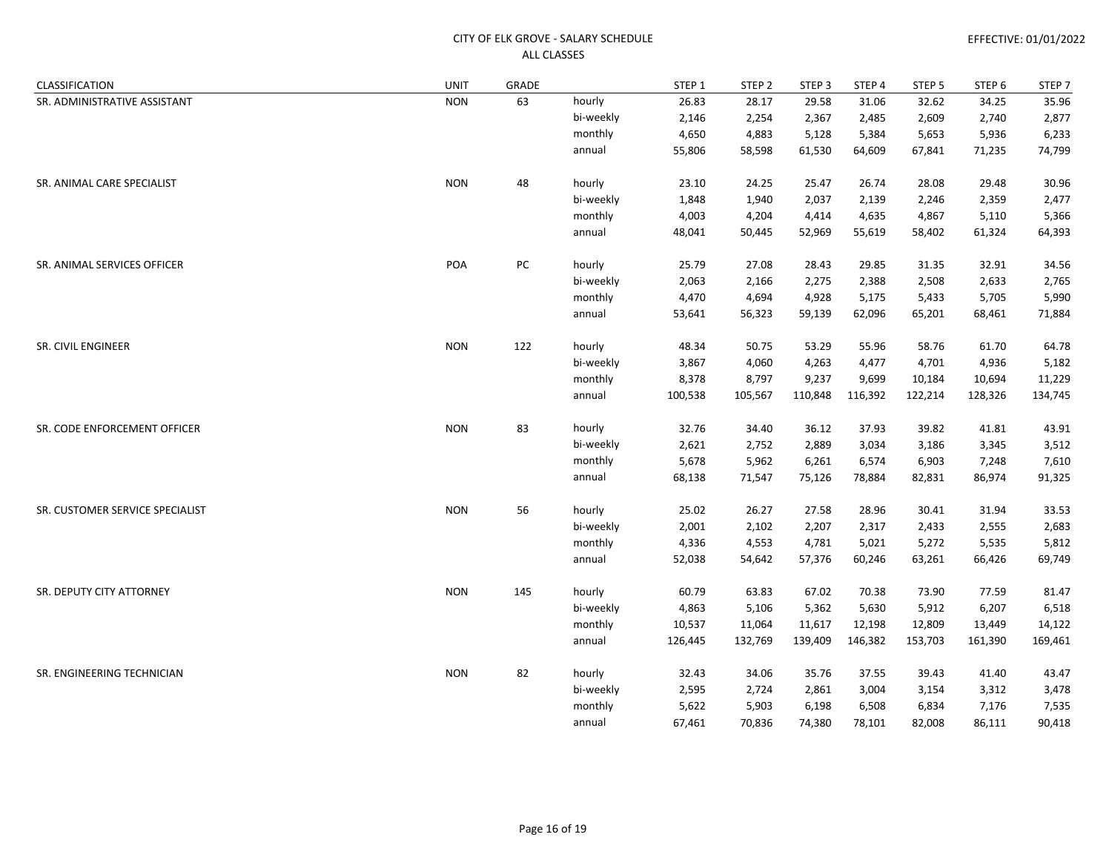| CLASSIFICATION                  | <b>UNIT</b> | GRADE |           | STEP 1  | STEP <sub>2</sub> | STEP <sub>3</sub> | STEP 4  | STEP 5  | STEP 6  | STEP 7  |
|---------------------------------|-------------|-------|-----------|---------|-------------------|-------------------|---------|---------|---------|---------|
| SR. ADMINISTRATIVE ASSISTANT    | <b>NON</b>  | 63    | hourly    | 26.83   | 28.17             | 29.58             | 31.06   | 32.62   | 34.25   | 35.96   |
|                                 |             |       | bi-weekly | 2,146   | 2,254             | 2,367             | 2,485   | 2,609   | 2,740   | 2,877   |
|                                 |             |       | monthly   | 4,650   | 4,883             | 5,128             | 5,384   | 5,653   | 5,936   | 6,233   |
|                                 |             |       | annual    | 55,806  | 58,598            | 61,530            | 64,609  | 67,841  | 71,235  | 74,799  |
| SR. ANIMAL CARE SPECIALIST      | <b>NON</b>  | 48    | hourly    | 23.10   | 24.25             | 25.47             | 26.74   | 28.08   | 29.48   | 30.96   |
|                                 |             |       | bi-weekly | 1,848   | 1,940             | 2,037             | 2,139   | 2,246   | 2,359   | 2,477   |
|                                 |             |       | monthly   | 4,003   | 4,204             | 4,414             | 4,635   | 4,867   | 5,110   | 5,366   |
|                                 |             |       | annual    | 48,041  | 50,445            | 52,969            | 55,619  | 58,402  | 61,324  | 64,393  |
| SR. ANIMAL SERVICES OFFICER     | POA         | PC    | hourly    | 25.79   | 27.08             | 28.43             | 29.85   | 31.35   | 32.91   | 34.56   |
|                                 |             |       | bi-weekly | 2,063   | 2,166             | 2,275             | 2,388   | 2,508   | 2,633   | 2,765   |
|                                 |             |       | monthly   | 4,470   | 4,694             | 4,928             | 5,175   | 5,433   | 5,705   | 5,990   |
|                                 |             |       | annual    | 53,641  | 56,323            | 59,139            | 62,096  | 65,201  | 68,461  | 71,884  |
| SR. CIVIL ENGINEER              | <b>NON</b>  | 122   | hourly    | 48.34   | 50.75             | 53.29             | 55.96   | 58.76   | 61.70   | 64.78   |
|                                 |             |       | bi-weekly | 3,867   | 4,060             | 4,263             | 4,477   | 4,701   | 4,936   | 5,182   |
|                                 |             |       | monthly   | 8,378   | 8,797             | 9,237             | 9,699   | 10,184  | 10,694  | 11,229  |
|                                 |             |       | annual    | 100,538 | 105,567           | 110,848           | 116,392 | 122,214 | 128,326 | 134,745 |
| SR. CODE ENFORCEMENT OFFICER    | <b>NON</b>  | 83    | hourly    | 32.76   | 34.40             | 36.12             | 37.93   | 39.82   | 41.81   | 43.91   |
|                                 |             |       | bi-weekly | 2,621   | 2,752             | 2,889             | 3,034   | 3,186   | 3,345   | 3,512   |
|                                 |             |       | monthly   | 5,678   | 5,962             | 6,261             | 6,574   | 6,903   | 7,248   | 7,610   |
|                                 |             |       | annual    | 68,138  | 71,547            | 75,126            | 78,884  | 82,831  | 86,974  | 91,325  |
| SR. CUSTOMER SERVICE SPECIALIST | <b>NON</b>  | 56    | hourly    | 25.02   | 26.27             | 27.58             | 28.96   | 30.41   | 31.94   | 33.53   |
|                                 |             |       | bi-weekly | 2,001   | 2,102             | 2,207             | 2,317   | 2,433   | 2,555   | 2,683   |
|                                 |             |       | monthly   | 4,336   | 4,553             | 4,781             | 5,021   | 5,272   | 5,535   | 5,812   |
|                                 |             |       | annual    | 52,038  | 54,642            | 57,376            | 60,246  | 63,261  | 66,426  | 69,749  |
| SR. DEPUTY CITY ATTORNEY        | <b>NON</b>  | 145   | hourly    | 60.79   | 63.83             | 67.02             | 70.38   | 73.90   | 77.59   | 81.47   |
|                                 |             |       | bi-weekly | 4,863   | 5,106             | 5,362             | 5,630   | 5,912   | 6,207   | 6,518   |
|                                 |             |       | monthly   | 10,537  | 11,064            | 11,617            | 12,198  | 12,809  | 13,449  | 14,122  |
|                                 |             |       | annual    | 126,445 | 132,769           | 139,409           | 146,382 | 153,703 | 161,390 | 169,461 |
| SR. ENGINEERING TECHNICIAN      | <b>NON</b>  | 82    | hourly    | 32.43   | 34.06             | 35.76             | 37.55   | 39.43   | 41.40   | 43.47   |
|                                 |             |       | bi-weekly | 2,595   | 2,724             | 2,861             | 3,004   | 3,154   | 3,312   | 3,478   |
|                                 |             |       | monthly   | 5,622   | 5,903             | 6,198             | 6,508   | 6,834   | 7,176   | 7,535   |
|                                 |             |       | annual    | 67,461  | 70,836            | 74,380            | 78,101  | 82,008  | 86,111  | 90,418  |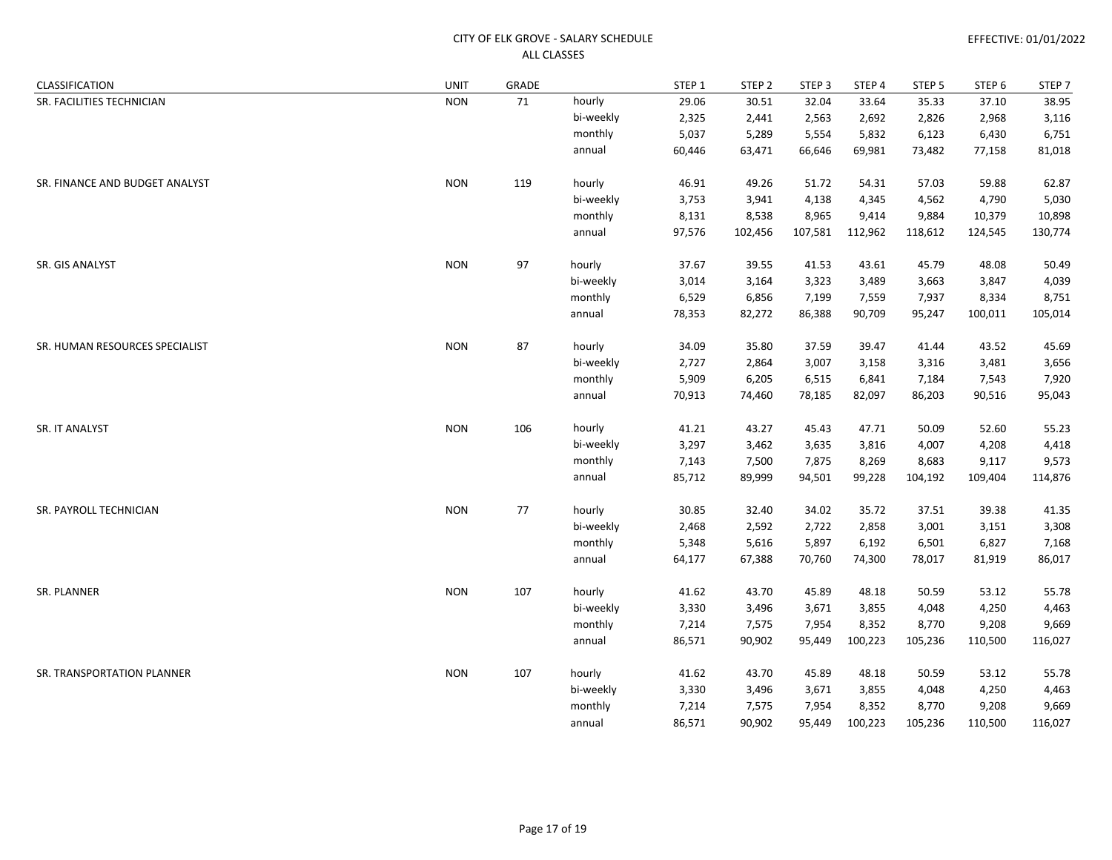| CLASSIFICATION                 | <b>UNIT</b> | GRADE |           | STEP <sub>1</sub> | STEP <sub>2</sub> | STEP <sub>3</sub> | STEP 4  | STEP 5  | STEP 6  | STEP 7  |
|--------------------------------|-------------|-------|-----------|-------------------|-------------------|-------------------|---------|---------|---------|---------|
| SR. FACILITIES TECHNICIAN      | <b>NON</b>  | 71    | hourly    | 29.06             | 30.51             | 32.04             | 33.64   | 35.33   | 37.10   | 38.95   |
|                                |             |       | bi-weekly | 2,325             | 2,441             | 2,563             | 2,692   | 2,826   | 2,968   | 3,116   |
|                                |             |       | monthly   | 5,037             | 5,289             | 5,554             | 5,832   | 6,123   | 6,430   | 6,751   |
|                                |             |       | annual    | 60,446            | 63,471            | 66,646            | 69,981  | 73,482  | 77,158  | 81,018  |
| SR. FINANCE AND BUDGET ANALYST | <b>NON</b>  | 119   | hourly    | 46.91             | 49.26             | 51.72             | 54.31   | 57.03   | 59.88   | 62.87   |
|                                |             |       | bi-weekly | 3,753             | 3,941             | 4,138             | 4,345   | 4,562   | 4,790   | 5,030   |
|                                |             |       | monthly   | 8,131             | 8,538             | 8,965             | 9,414   | 9,884   | 10,379  | 10,898  |
|                                |             |       | annual    | 97,576            | 102,456           | 107,581           | 112,962 | 118,612 | 124,545 | 130,774 |
| SR. GIS ANALYST                | <b>NON</b>  | 97    | hourly    | 37.67             | 39.55             | 41.53             | 43.61   | 45.79   | 48.08   | 50.49   |
|                                |             |       | bi-weekly | 3,014             | 3,164             | 3,323             | 3,489   | 3,663   | 3,847   | 4,039   |
|                                |             |       | monthly   | 6,529             | 6,856             | 7,199             | 7,559   | 7,937   | 8,334   | 8,751   |
|                                |             |       | annual    | 78,353            | 82,272            | 86,388            | 90,709  | 95,247  | 100,011 | 105,014 |
| SR. HUMAN RESOURCES SPECIALIST | <b>NON</b>  | 87    | hourly    | 34.09             | 35.80             | 37.59             | 39.47   | 41.44   | 43.52   | 45.69   |
|                                |             |       | bi-weekly | 2,727             | 2,864             | 3,007             | 3,158   | 3,316   | 3,481   | 3,656   |
|                                |             |       | monthly   | 5,909             | 6,205             | 6,515             | 6,841   | 7,184   | 7,543   | 7,920   |
|                                |             |       | annual    | 70,913            | 74,460            | 78,185            | 82,097  | 86,203  | 90,516  | 95,043  |
| SR. IT ANALYST                 | <b>NON</b>  | 106   | hourly    | 41.21             | 43.27             | 45.43             | 47.71   | 50.09   | 52.60   | 55.23   |
|                                |             |       | bi-weekly | 3,297             | 3,462             | 3,635             | 3,816   | 4,007   | 4,208   | 4,418   |
|                                |             |       | monthly   | 7,143             | 7,500             | 7,875             | 8,269   | 8,683   | 9,117   | 9,573   |
|                                |             |       | annual    | 85,712            | 89,999            | 94,501            | 99,228  | 104,192 | 109,404 | 114,876 |
| SR. PAYROLL TECHNICIAN         | <b>NON</b>  | 77    | hourly    | 30.85             | 32.40             | 34.02             | 35.72   | 37.51   | 39.38   | 41.35   |
|                                |             |       | bi-weekly | 2,468             | 2,592             | 2,722             | 2,858   | 3,001   | 3,151   | 3,308   |
|                                |             |       | monthly   | 5,348             | 5,616             | 5,897             | 6,192   | 6,501   | 6,827   | 7,168   |
|                                |             |       | annual    | 64,177            | 67,388            | 70,760            | 74,300  | 78,017  | 81,919  | 86,017  |
| SR. PLANNER                    | <b>NON</b>  | 107   | hourly    | 41.62             | 43.70             | 45.89             | 48.18   | 50.59   | 53.12   | 55.78   |
|                                |             |       | bi-weekly | 3,330             | 3,496             | 3,671             | 3,855   | 4,048   | 4,250   | 4,463   |
|                                |             |       | monthly   | 7,214             | 7,575             | 7,954             | 8,352   | 8,770   | 9,208   | 9,669   |
|                                |             |       | annual    | 86,571            | 90,902            | 95,449            | 100,223 | 105,236 | 110,500 | 116,027 |
| SR. TRANSPORTATION PLANNER     | <b>NON</b>  | 107   | hourly    | 41.62             | 43.70             | 45.89             | 48.18   | 50.59   | 53.12   | 55.78   |
|                                |             |       | bi-weekly | 3,330             | 3,496             | 3,671             | 3,855   | 4,048   | 4,250   | 4,463   |
|                                |             |       | monthly   | 7,214             | 7,575             | 7,954             | 8,352   | 8,770   | 9,208   | 9,669   |
|                                |             |       | annual    | 86,571            | 90,902            | 95,449            | 100,223 | 105,236 | 110,500 | 116,027 |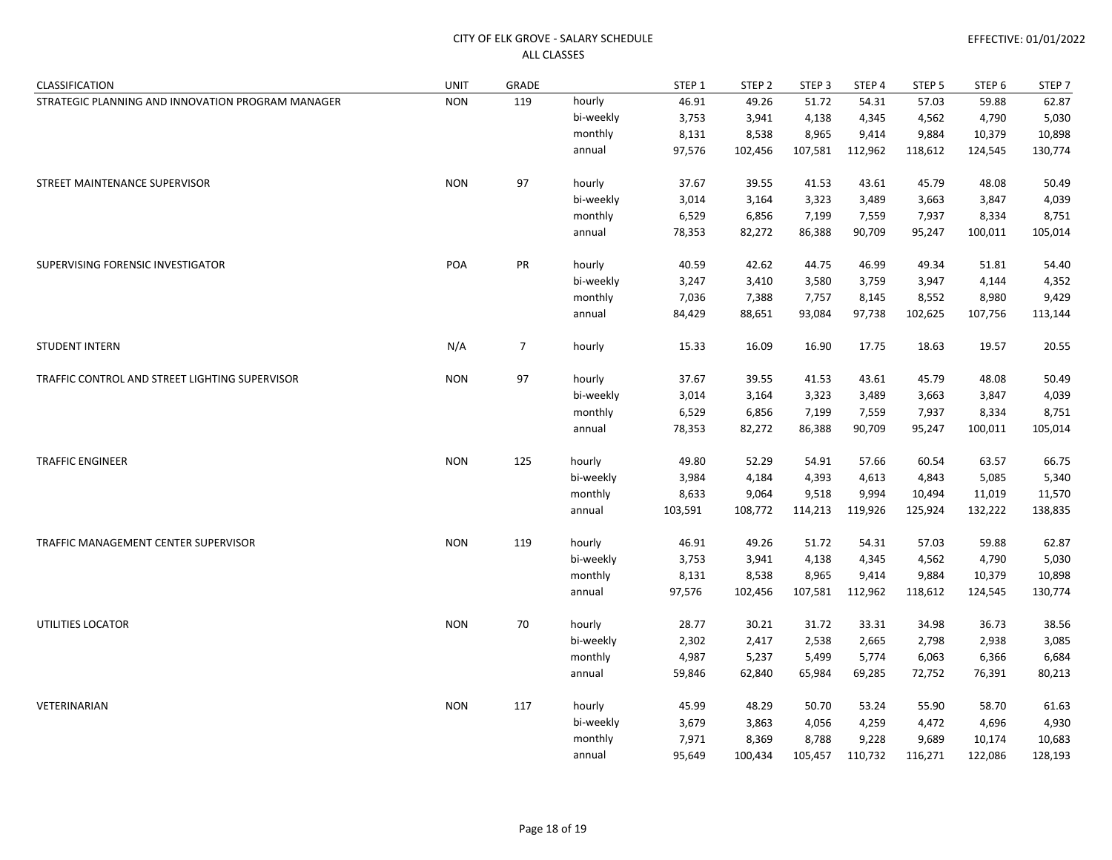| CLASSIFICATION                                    | <b>UNIT</b> | GRADE          |           | STEP 1  | STEP <sub>2</sub> | STEP <sub>3</sub> | STEP 4  | STEP <sub>5</sub> | STEP <sub>6</sub> | STEP <sub>7</sub> |
|---------------------------------------------------|-------------|----------------|-----------|---------|-------------------|-------------------|---------|-------------------|-------------------|-------------------|
| STRATEGIC PLANNING AND INNOVATION PROGRAM MANAGER | <b>NON</b>  | 119            | hourly    | 46.91   | 49.26             | 51.72             | 54.31   | 57.03             | 59.88             | 62.87             |
|                                                   |             |                | bi-weekly | 3,753   | 3,941             | 4,138             | 4,345   | 4,562             | 4,790             | 5,030             |
|                                                   |             |                | monthly   | 8,131   | 8,538             | 8,965             | 9,414   | 9,884             | 10,379            | 10,898            |
|                                                   |             |                | annual    | 97,576  | 102,456           | 107,581           | 112,962 | 118,612           | 124,545           | 130,774           |
| STREET MAINTENANCE SUPERVISOR                     | <b>NON</b>  | 97             | hourly    | 37.67   | 39.55             | 41.53             | 43.61   | 45.79             | 48.08             | 50.49             |
|                                                   |             |                | bi-weekly | 3,014   | 3,164             | 3,323             | 3,489   | 3,663             | 3,847             | 4,039             |
|                                                   |             |                | monthly   | 6,529   | 6,856             | 7,199             | 7,559   | 7,937             | 8,334             | 8,751             |
|                                                   |             |                | annual    | 78,353  | 82,272            | 86,388            | 90,709  | 95,247            | 100,011           | 105,014           |
| SUPERVISING FORENSIC INVESTIGATOR                 | POA         | PR             | hourly    | 40.59   | 42.62             | 44.75             | 46.99   | 49.34             | 51.81             | 54.40             |
|                                                   |             |                | bi-weekly | 3,247   | 3,410             | 3,580             | 3,759   | 3,947             | 4,144             | 4,352             |
|                                                   |             |                | monthly   | 7,036   | 7,388             | 7,757             | 8,145   | 8,552             | 8,980             | 9,429             |
|                                                   |             |                | annual    | 84,429  | 88,651            | 93,084            | 97,738  | 102,625           | 107,756           | 113,144           |
| <b>STUDENT INTERN</b>                             | N/A         | $\overline{7}$ | hourly    | 15.33   | 16.09             | 16.90             | 17.75   | 18.63             | 19.57             | 20.55             |
| TRAFFIC CONTROL AND STREET LIGHTING SUPERVISOR    | <b>NON</b>  | 97             | hourly    | 37.67   | 39.55             | 41.53             | 43.61   | 45.79             | 48.08             | 50.49             |
|                                                   |             |                | bi-weekly | 3,014   | 3,164             | 3,323             | 3,489   | 3,663             | 3,847             | 4,039             |
|                                                   |             |                | monthly   | 6,529   | 6,856             | 7,199             | 7,559   | 7,937             | 8,334             | 8,751             |
|                                                   |             |                | annual    | 78,353  | 82,272            | 86,388            | 90,709  | 95,247            | 100,011           | 105,014           |
| <b>TRAFFIC ENGINEER</b>                           | <b>NON</b>  | 125            | hourly    | 49.80   | 52.29             | 54.91             | 57.66   | 60.54             | 63.57             | 66.75             |
|                                                   |             |                | bi-weekly | 3,984   | 4,184             | 4,393             | 4,613   | 4,843             | 5,085             | 5,340             |
|                                                   |             |                | monthly   | 8,633   | 9,064             | 9,518             | 9,994   | 10,494            | 11,019            | 11,570            |
|                                                   |             |                | annual    | 103,591 | 108,772           | 114,213           | 119,926 | 125,924           | 132,222           | 138,835           |
| TRAFFIC MANAGEMENT CENTER SUPERVISOR              | <b>NON</b>  | 119            | hourly    | 46.91   | 49.26             | 51.72             | 54.31   | 57.03             | 59.88             | 62.87             |
|                                                   |             |                | bi-weekly | 3,753   | 3,941             | 4,138             | 4,345   | 4,562             | 4,790             | 5,030             |
|                                                   |             |                | monthly   | 8,131   | 8,538             | 8,965             | 9,414   | 9,884             | 10,379            | 10,898            |
|                                                   |             |                | annual    | 97,576  | 102,456           | 107,581           | 112,962 | 118,612           | 124,545           | 130,774           |
| UTILITIES LOCATOR                                 | <b>NON</b>  | 70             | hourly    | 28.77   | 30.21             | 31.72             | 33.31   | 34.98             | 36.73             | 38.56             |
|                                                   |             |                | bi-weekly | 2,302   | 2,417             | 2,538             | 2,665   | 2,798             | 2,938             | 3,085             |
|                                                   |             |                | monthly   | 4,987   | 5,237             | 5,499             | 5,774   | 6,063             | 6,366             | 6,684             |
|                                                   |             |                | annual    | 59,846  | 62,840            | 65,984            | 69,285  | 72,752            | 76,391            | 80,213            |
| VETERINARIAN                                      | <b>NON</b>  | 117            | hourly    | 45.99   | 48.29             | 50.70             | 53.24   | 55.90             | 58.70             | 61.63             |
|                                                   |             |                | bi-weekly | 3,679   | 3,863             | 4,056             | 4,259   | 4,472             | 4,696             | 4,930             |
|                                                   |             |                | monthly   | 7,971   | 8,369             | 8,788             | 9,228   | 9,689             | 10,174            | 10,683            |
|                                                   |             |                | annual    | 95,649  | 100,434           | 105,457           | 110,732 | 116,271           | 122,086           | 128,193           |